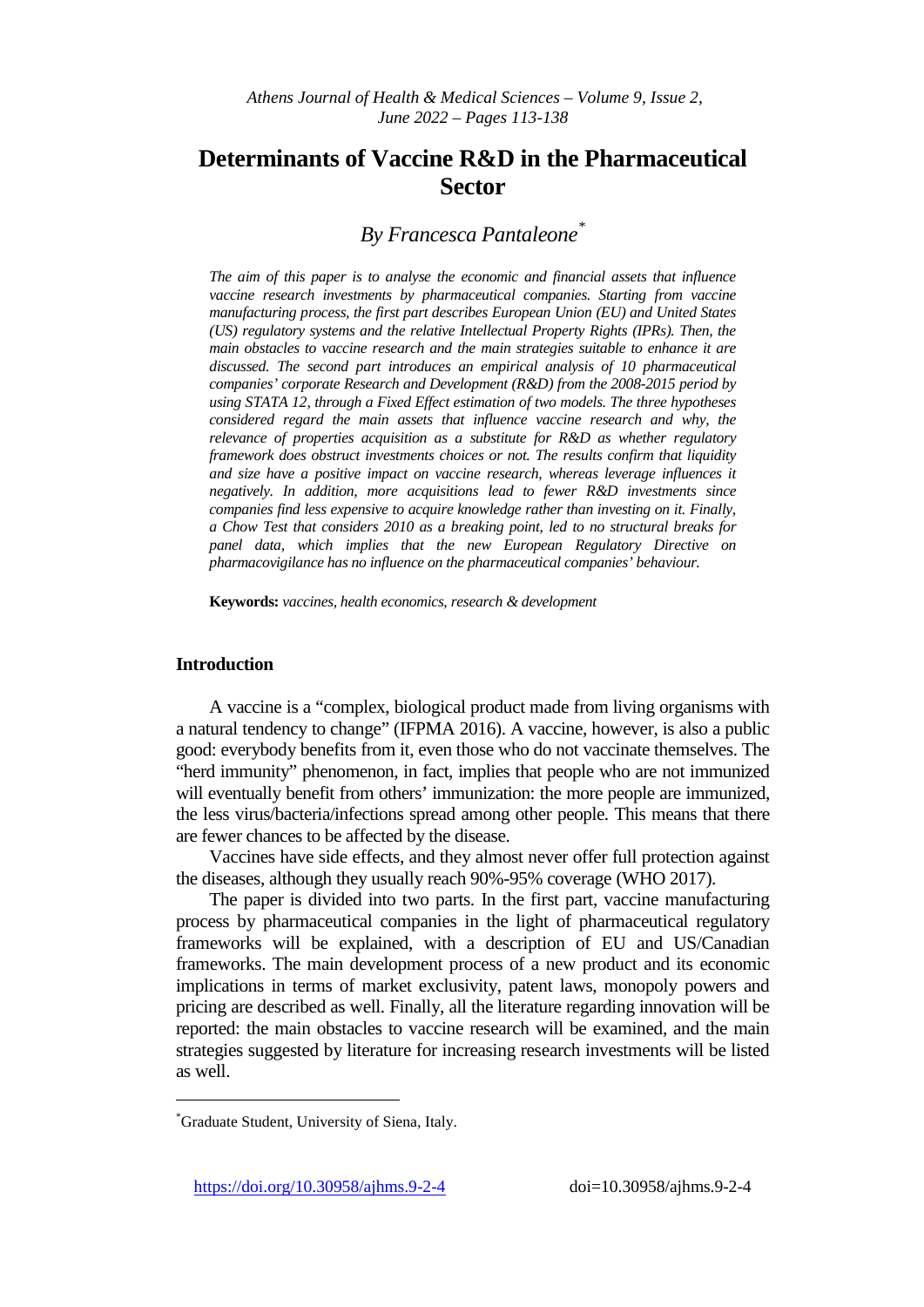# **Determinants of Vaccine R&D in the Pharmaceutical Sector**

## *By Francesca Pantaleone[\\*](#page-0-0)*

*The aim of this paper is to analyse the economic and financial assets that influence*  vaccine research investments by pharmaceutical companies. Starting from vaccine *manufacturing process, the first part describes European Union (EU) and United States (US) regulatory systems and the relative Intellectual Property Rights (IPRs). Then, the main obstacles to vaccine research and the main strategies suitable to enhance it are discussed. The second part introduces an empirical analysis of 10 pharmaceutical companies' corporate Research and Development (R&D) from the 2008-2015 period by using STATA 12, through a Fixed Effect estimation of two models. The three hypotheses considered regard the main assets that influence vaccine research and why, the relevance of properties acquisition as a substitute for R&D as whether regulatory framework does obstruct investments choices or not. The results confirm that liquidity and size have a positive impact on vaccine research, whereas leverage influences it negatively. In addition, more acquisitions lead to fewer R&D investments since companies find less expensive to acquire knowledge rather than investing on it. Finally, a Chow Test that considers 2010 as a breaking point, led to no structural breaks for panel data, which implies that the new European Regulatory Directive on pharmacovigilance has no influence on the pharmaceutical companies' behaviour.* 

**Keywords:** *vaccines, health economics, research & development*

## **Introduction**

j

A vaccine is a "complex, biological product made from living organisms with a natural tendency to change" (IFPMA 2016). A vaccine, however, is also a public good: everybody benefits from it, even those who do not vaccinate themselves. The "herd immunity" phenomenon, in fact, implies that people who are not immunized will eventually benefit from others' immunization: the more people are immunized, the less virus/bacteria/infections spread among other people. This means that there are fewer chances to be affected by the disease.

Vaccines have side effects, and they almost never offer full protection against the diseases, although they usually reach 90%-95% coverage (WHO 2017).

The paper is divided into two parts. In the first part, vaccine manufacturing process by pharmaceutical companies in the light of pharmaceutical regulatory frameworks will be explained, with a description of EU and US/Canadian frameworks. The main development process of a new product and its economic implications in terms of market exclusivity, patent laws, monopoly powers and pricing are described as well. Finally, all the literature regarding innovation will be reported: the main obstacles to vaccine research will be examined, and the main strategies suggested by literature for increasing research investments will be listed as well.

<span id="page-0-0"></span><sup>\*</sup> Graduate Student, University of Siena, Italy.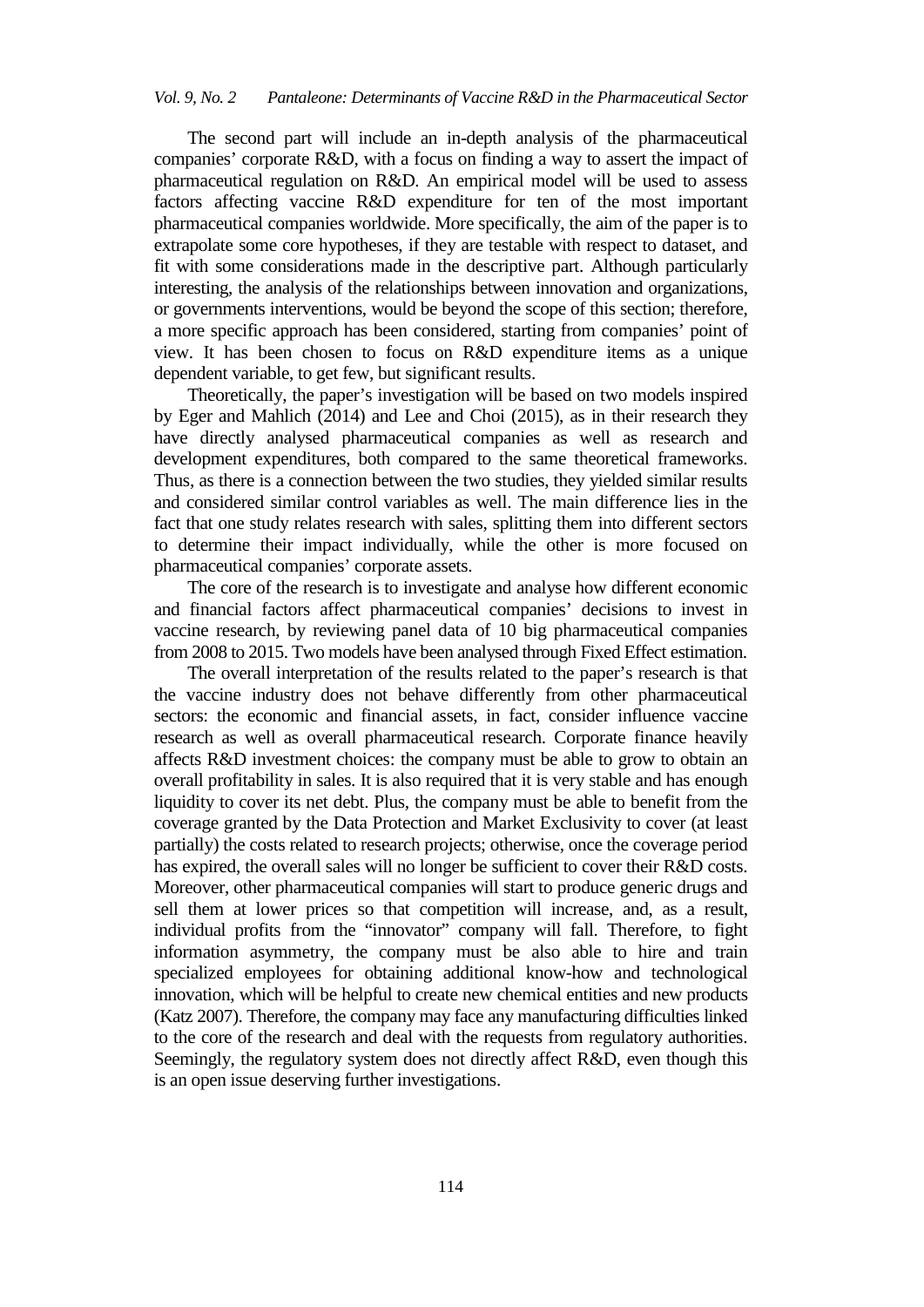The second part will include an in-depth analysis of the pharmaceutical companies' corporate R&D, with a focus on finding a way to assert the impact of pharmaceutical regulation on R&D. An empirical model will be used to assess factors affecting vaccine R&D expenditure for ten of the most important pharmaceutical companies worldwide. More specifically, the aim of the paper is to extrapolate some core hypotheses, if they are testable with respect to dataset, and fit with some considerations made in the descriptive part. Although particularly interesting, the analysis of the relationships between innovation and organizations, or governments interventions, would be beyond the scope of this section; therefore, a more specific approach has been considered, starting from companies' point of view. It has been chosen to focus on R&D expenditure items as a unique dependent variable, to get few, but significant results.

Theoretically, the paper's investigation will be based on two models inspired by Eger and Mahlich (2014) and Lee and Choi (2015), as in their research they have directly analysed pharmaceutical companies as well as research and development expenditures, both compared to the same theoretical frameworks. Thus, as there is a connection between the two studies, they yielded similar results and considered similar control variables as well. The main difference lies in the fact that one study relates research with sales, splitting them into different sectors to determine their impact individually, while the other is more focused on pharmaceutical companies' corporate assets.

The core of the research is to investigate and analyse how different economic and financial factors affect pharmaceutical companies' decisions to invest in vaccine research, by reviewing panel data of 10 big pharmaceutical companies from 2008 to 2015. Two models have been analysed through Fixed Effect estimation.

The overall interpretation of the results related to the paper's research is that the vaccine industry does not behave differently from other pharmaceutical sectors: the economic and financial assets, in fact, consider influence vaccine research as well as overall pharmaceutical research. Corporate finance heavily affects R&D investment choices: the company must be able to grow to obtain an overall profitability in sales. It is also required that it is very stable and has enough liquidity to cover its net debt. Plus, the company must be able to benefit from the coverage granted by the Data Protection and Market Exclusivity to cover (at least partially) the costs related to research projects; otherwise, once the coverage period has expired, the overall sales will no longer be sufficient to cover their R&D costs. Moreover, other pharmaceutical companies will start to produce generic drugs and sell them at lower prices so that competition will increase, and, as a result, individual profits from the "innovator" company will fall. Therefore, to fight information asymmetry, the company must be also able to hire and train specialized employees for obtaining additional know-how and technological innovation, which will be helpful to create new chemical entities and new products (Katz 2007). Therefore, the company may face any manufacturing difficulties linked to the core of the research and deal with the requests from regulatory authorities. Seemingly, the regulatory system does not directly affect R&D, even though this is an open issue deserving further investigations.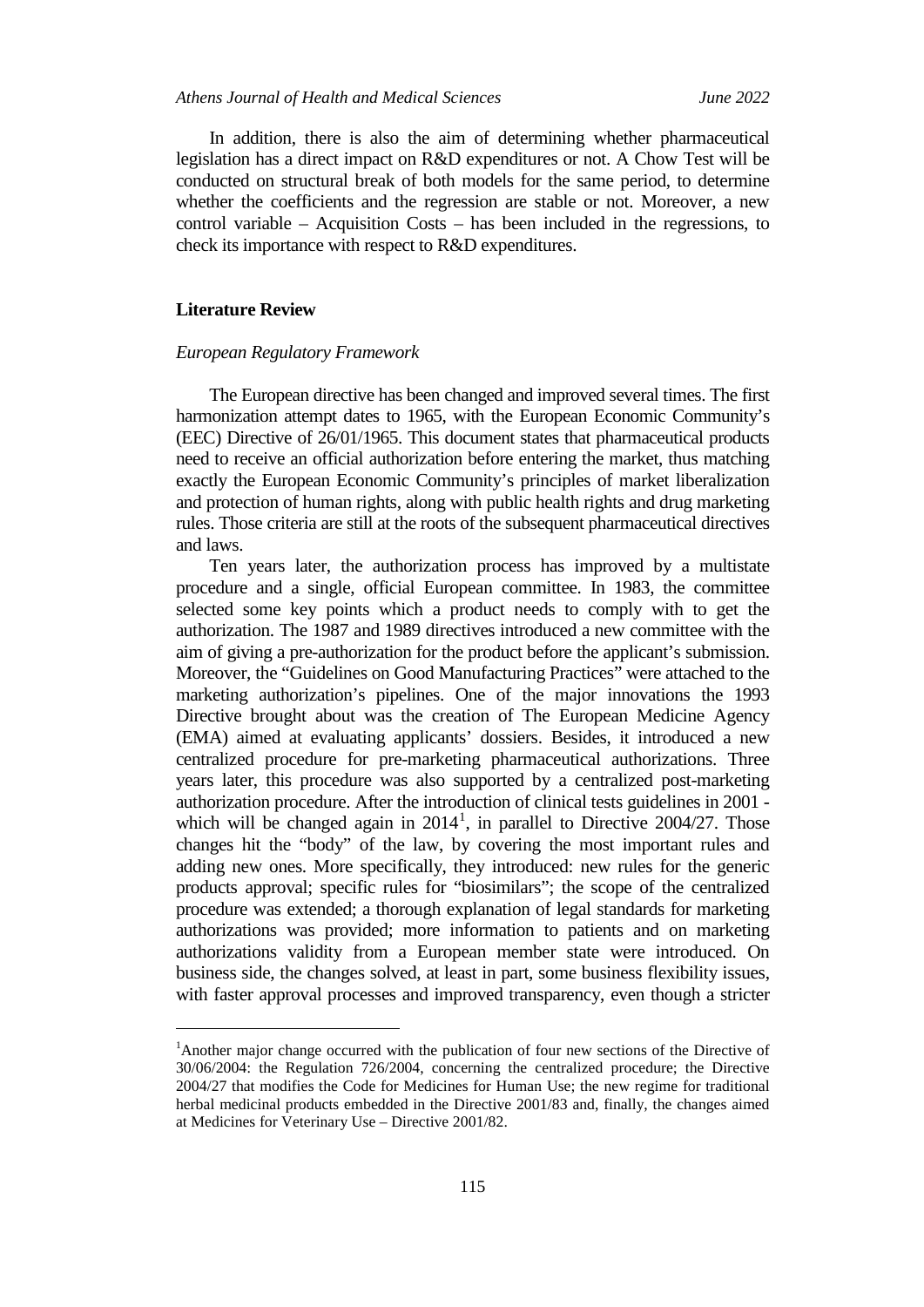In addition, there is also the aim of determining whether pharmaceutical legislation has a direct impact on R&D expenditures or not. A Chow Test will be conducted on structural break of both models for the same period, to determine whether the coefficients and the regression are stable or not. Moreover, a new control variable – Acquisition Costs – has been included in the regressions, to check its importance with respect to R&D expenditures.

## **Literature Review**

j

#### *European Regulatory Framework*

The European directive has been changed and improved several times. The first harmonization attempt dates to 1965, with the European Economic Community's (EEC) Directive of 26/01/1965. This document states that pharmaceutical products need to receive an official authorization before entering the market, thus matching exactly the European Economic Community's principles of market liberalization and protection of human rights, along with public health rights and drug marketing rules. Those criteria are still at the roots of the subsequent pharmaceutical directives and laws.

Ten years later, the authorization process has improved by a multistate procedure and a single, official European committee. In 1983, the committee selected some key points which a product needs to comply with to get the authorization. The 1987 and 1989 directives introduced a new committee with the aim of giving a pre-authorization for the product before the applicant's submission. Moreover, the "Guidelines on Good Manufacturing Practices" were attached to the marketing authorization's pipelines. One of the major innovations the 1993 Directive brought about was the creation of The European Medicine Agency (EMA) aimed at evaluating applicants' dossiers. Besides, it introduced a new centralized procedure for pre-marketing pharmaceutical authorizations. Three years later, this procedure was also supported by a centralized post-marketing authorization procedure. After the introduction of clinical tests guidelines in 2001 which will be changed again in  $2014<sup>1</sup>$  $2014<sup>1</sup>$  $2014<sup>1</sup>$ , in parallel to Directive 2004/27. Those changes hit the "body" of the law, by covering the most important rules and adding new ones. More specifically, they introduced: new rules for the generic products approval; specific rules for "biosimilars"; the scope of the centralized procedure was extended; a thorough explanation of legal standards for marketing authorizations was provided; more information to patients and on marketing authorizations validity from a European member state were introduced. On business side, the changes solved, at least in part, some business flexibility issues, with faster approval processes and improved transparency, even though a stricter

<span id="page-2-0"></span><sup>&</sup>lt;sup>1</sup> Another major change occurred with the publication of four new sections of the Directive of 30/06/2004: the Regulation 726/2004, concerning the centralized procedure; the Directive 2004/27 that modifies the Code for Medicines for Human Use; the new regime for traditional herbal medicinal products embedded in the Directive 2001/83 and, finally, the changes aimed at Medicines for Veterinary Use – Directive 2001/82.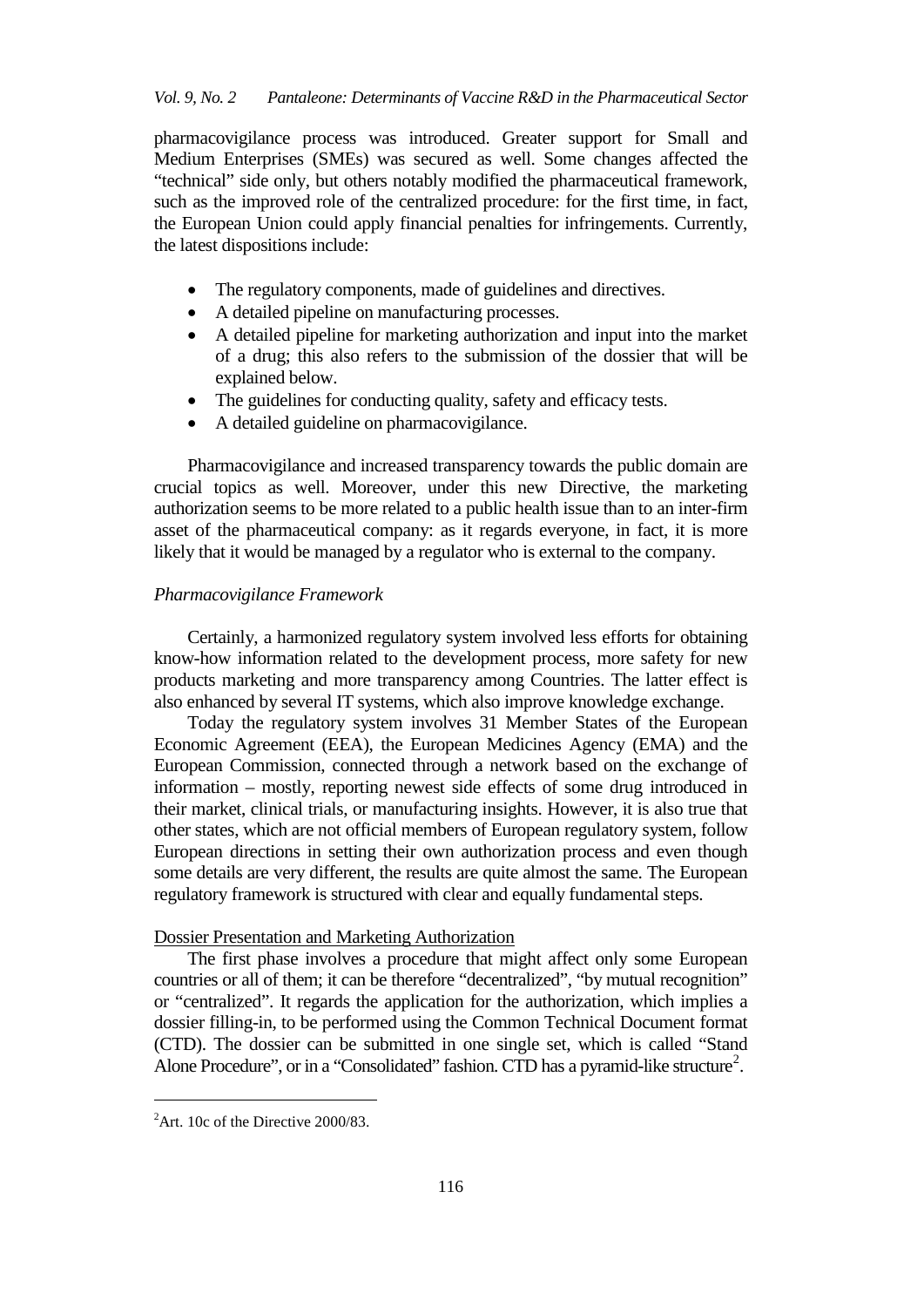pharmacovigilance process was introduced. Greater support for Small and Medium Enterprises (SMEs) was secured as well. Some changes affected the "technical" side only, but others notably modified the pharmaceutical framework, such as the improved role of the centralized procedure: for the first time, in fact, the European Union could apply financial penalties for infringements. Currently, the latest dispositions include:

- The regulatory components, made of guidelines and directives.
- A detailed pipeline on manufacturing processes.
- A detailed pipeline for marketing authorization and input into the market of a drug; this also refers to the submission of the dossier that will be explained below.
- The guidelines for conducting quality, safety and efficacy tests.
- A detailed guideline on pharmacovigilance.

Pharmacovigilance and increased transparency towards the public domain are crucial topics as well. Moreover, under this new Directive, the marketing authorization seems to be more related to a public health issue than to an inter-firm asset of the pharmaceutical company: as it regards everyone, in fact, it is more likely that it would be managed by a regulator who is external to the company.

## *Pharmacovigilance Framework*

Certainly, a harmonized regulatory system involved less efforts for obtaining know-how information related to the development process, more safety for new products marketing and more transparency among Countries. The latter effect is also enhanced by several IT systems, which also improve knowledge exchange.

Today the regulatory system involves 31 Member States of the European Economic Agreement (EEA), the European Medicines Agency (EMA) and the European Commission, connected through a network based on the exchange of information – mostly, reporting newest side effects of some drug introduced in their market, clinical trials, or manufacturing insights. However, it is also true that other states, which are not official members of European regulatory system, follow European directions in setting their own authorization process and even though some details are very different, the results are quite almost the same. The European regulatory framework is structured with clear and equally fundamental steps.

#### Dossier Presentation and Marketing Authorization

The first phase involves a procedure that might affect only some European countries or all of them; it can be therefore "decentralized", "by mutual recognition" or "centralized". It regards the application for the authorization, which implies a dossier filling-in, to be performed using the Common Technical Document format (CTD). The dossier can be submitted in one single set, which is called "Stand Alone Procedure", or in a "Consolidated" fashion. CTD has a pyramid-like structure<sup>[2](#page-3-0)</sup>.

j

<span id="page-3-0"></span> ${}^{2}$ Art. 10c of the Directive 2000/83.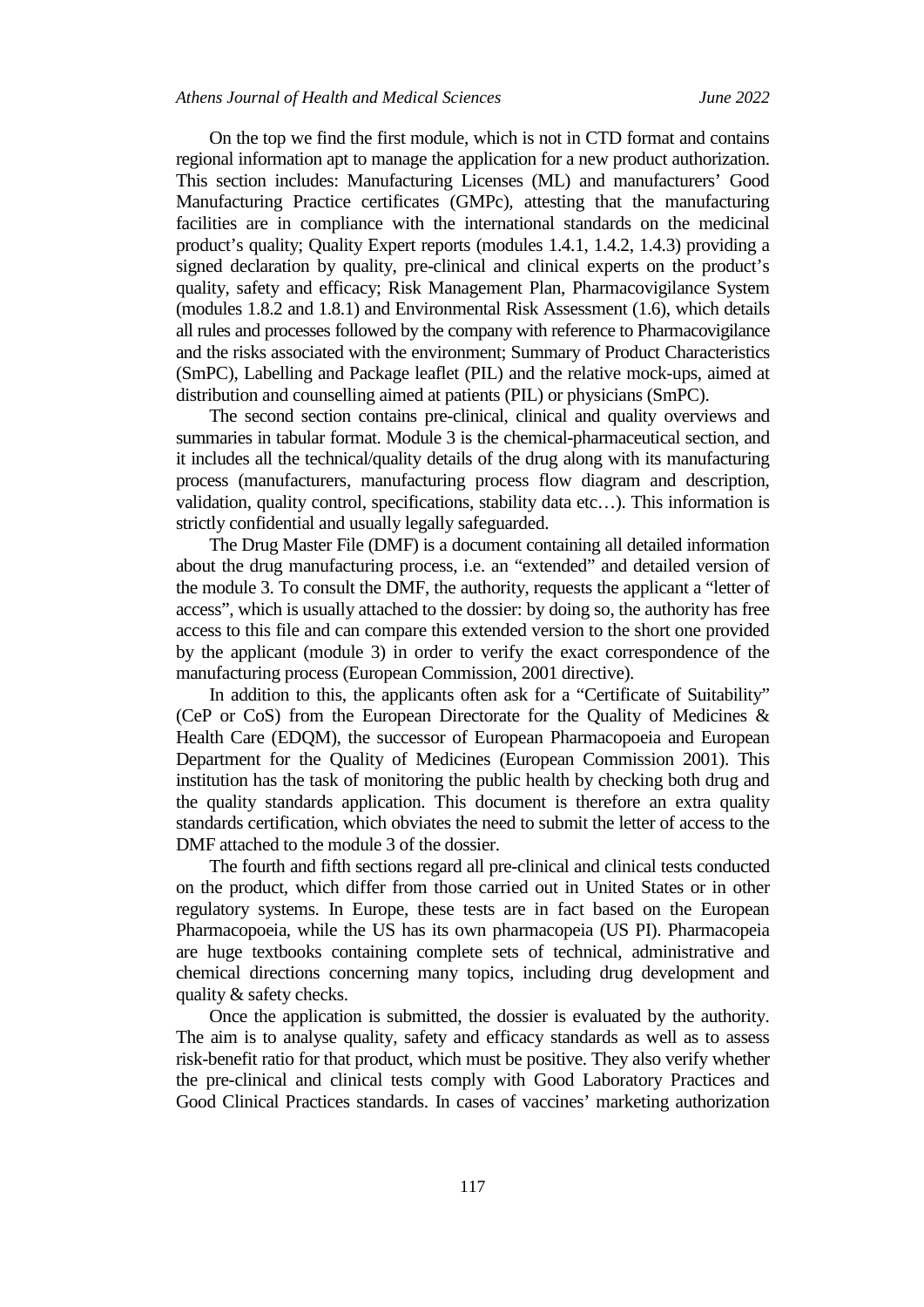On the top we find the first module, which is not in CTD format and contains regional information apt to manage the application for a new product authorization. This section includes: Manufacturing Licenses (ML) and manufacturers' Good Manufacturing Practice certificates (GMPc), attesting that the manufacturing facilities are in compliance with the international standards on the medicinal product's quality; Quality Expert reports (modules 1.4.1, 1.4.2, 1.4.3) providing a signed declaration by quality, pre-clinical and clinical experts on the product's quality, safety and efficacy; Risk Management Plan, Pharmacovigilance System (modules 1.8.2 and 1.8.1) and Environmental Risk Assessment (1.6), which details all rules and processes followed by the company with reference to Pharmacovigilance and the risks associated with the environment; Summary of Product Characteristics (SmPC), Labelling and Package leaflet (PIL) and the relative mock-ups, aimed at distribution and counselling aimed at patients (PIL) or physicians (SmPC).

The second section contains pre-clinical, clinical and quality overviews and summaries in tabular format. Module 3 is the chemical-pharmaceutical section, and it includes all the technical/quality details of the drug along with its manufacturing process (manufacturers, manufacturing process flow diagram and description, validation, quality control, specifications, stability data etc…). This information is strictly confidential and usually legally safeguarded.

The Drug Master File (DMF) is a document containing all detailed information about the drug manufacturing process, i.e. an "extended" and detailed version of the module 3. To consult the DMF, the authority, requests the applicant a "letter of access", which is usually attached to the dossier: by doing so, the authority has free access to this file and can compare this extended version to the short one provided by the applicant (module 3) in order to verify the exact correspondence of the manufacturing process (European Commission, 2001 directive).

In addition to this, the applicants often ask for a "Certificate of Suitability" (CeP or CoS) from the European Directorate for the Quality of Medicines & Health Care (EDQM), the successor of European Pharmacopoeia and European Department for the Quality of Medicines (European Commission 2001). This institution has the task of monitoring the public health by checking both drug and the quality standards application. This document is therefore an extra quality standards certification, which obviates the need to submit the letter of access to the DMF attached to the module 3 of the dossier.

The fourth and fifth sections regard all pre-clinical and clinical tests conducted on the product, which differ from those carried out in United States or in other regulatory systems. In Europe, these tests are in fact based on the European Pharmacopoeia, while the US has its own pharmacopeia (US PI). Pharmacopeia are huge textbooks containing complete sets of technical, administrative and chemical directions concerning many topics, including drug development and quality & safety checks.

Once the application is submitted, the dossier is evaluated by the authority. The aim is to analyse quality, safety and efficacy standards as well as to assess risk-benefit ratio for that product, which must be positive. They also verify whether the pre-clinical and clinical tests comply with Good Laboratory Practices and Good Clinical Practices standards. In cases of vaccines' marketing authorization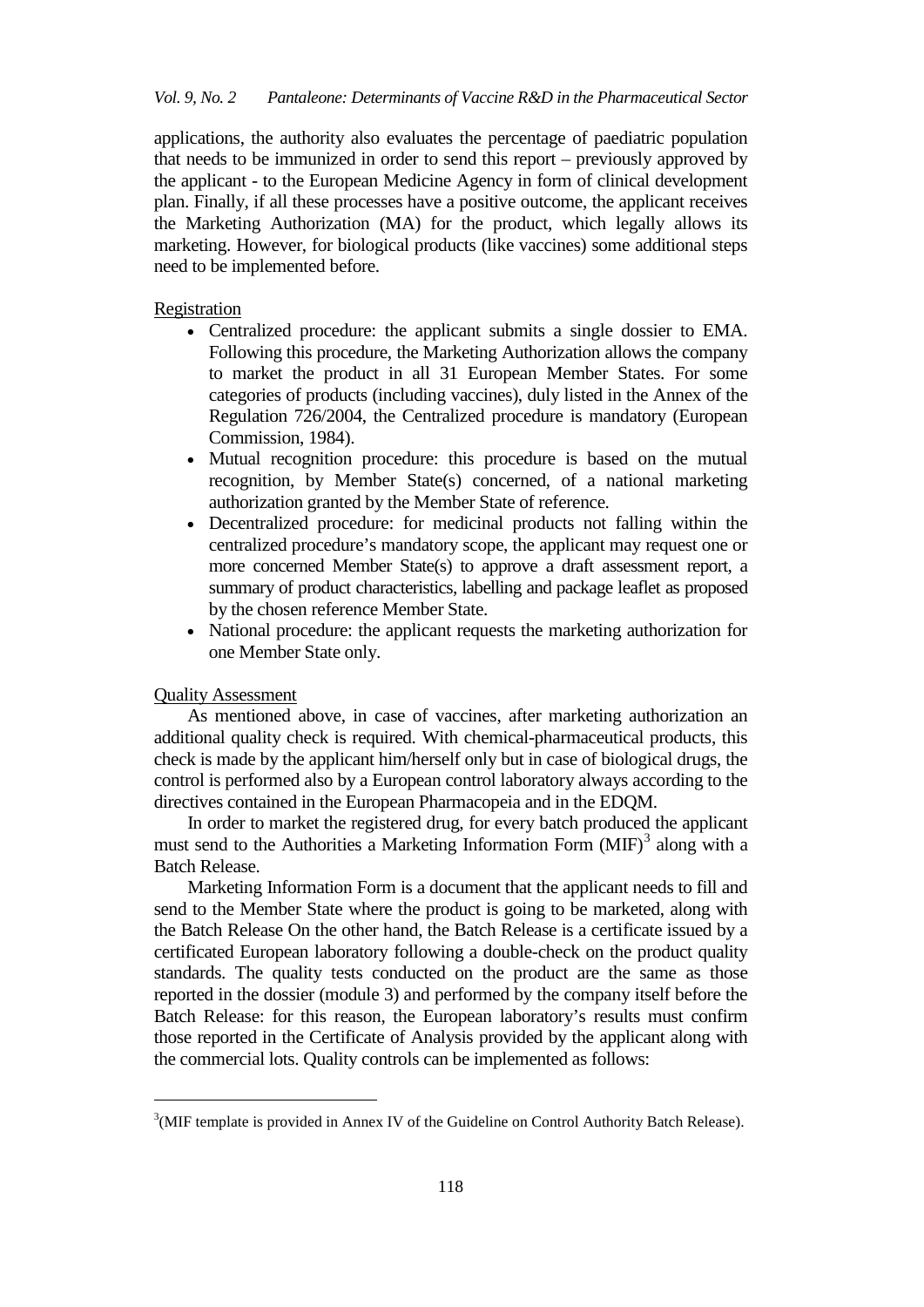applications, the authority also evaluates the percentage of paediatric population that needs to be immunized in order to send this report – previously approved by the applicant - to the European Medicine Agency in form of clinical development plan. Finally, if all these processes have a positive outcome, the applicant receives the Marketing Authorization (MA) for the product, which legally allows its marketing. However, for biological products (like vaccines) some additional steps need to be implemented before.

## Registration

- Centralized procedure: the applicant submits a single dossier to EMA. Following this procedure, the Marketing Authorization allows the company to market the product in all 31 European Member States. For some categories of products (including vaccines), duly listed in the Annex of the Regulation 726/2004, the Centralized procedure is mandatory (European Commission, 1984).
- Mutual recognition procedure: this procedure is based on the mutual recognition, by Member State(s) concerned, of a national marketing authorization granted by the Member State of reference.
- Decentralized procedure: for medicinal products not falling within the centralized procedure's mandatory scope, the applicant may request one or more concerned Member State(s) to approve a draft assessment report, a summary of product characteristics, labelling and package leaflet as proposed by the chosen reference Member State.
- National procedure: the applicant requests the marketing authorization for one Member State only.

## Quality Assessment

j

As mentioned above, in case of vaccines, after marketing authorization an additional quality check is required. With chemical-pharmaceutical products, this check is made by the applicant him/herself only but in case of biological drugs, the control is performed also by a European control laboratory always according to the directives contained in the European Pharmacopeia and in the EDQM.

In order to market the registered drug, for every batch produced the applicant must send to the Authorities a Marketing Information Form  $(MIF)^3$  $(MIF)^3$  along with a Batch Release.

Marketing Information Form is a document that the applicant needs to fill and send to the Member State where the product is going to be marketed, along with the Batch Release On the other hand, the Batch Release is a certificate issued by a certificated European laboratory following a double-check on the product quality standards. The quality tests conducted on the product are the same as those reported in the dossier (module 3) and performed by the company itself before the Batch Release: for this reason, the European laboratory's results must confirm those reported in the Certificate of Analysis provided by the applicant along with the commercial lots. Quality controls can be implemented as follows:

<span id="page-5-0"></span> $3$ (MIF template is provided in Annex IV of the Guideline on Control Authority Batch Release).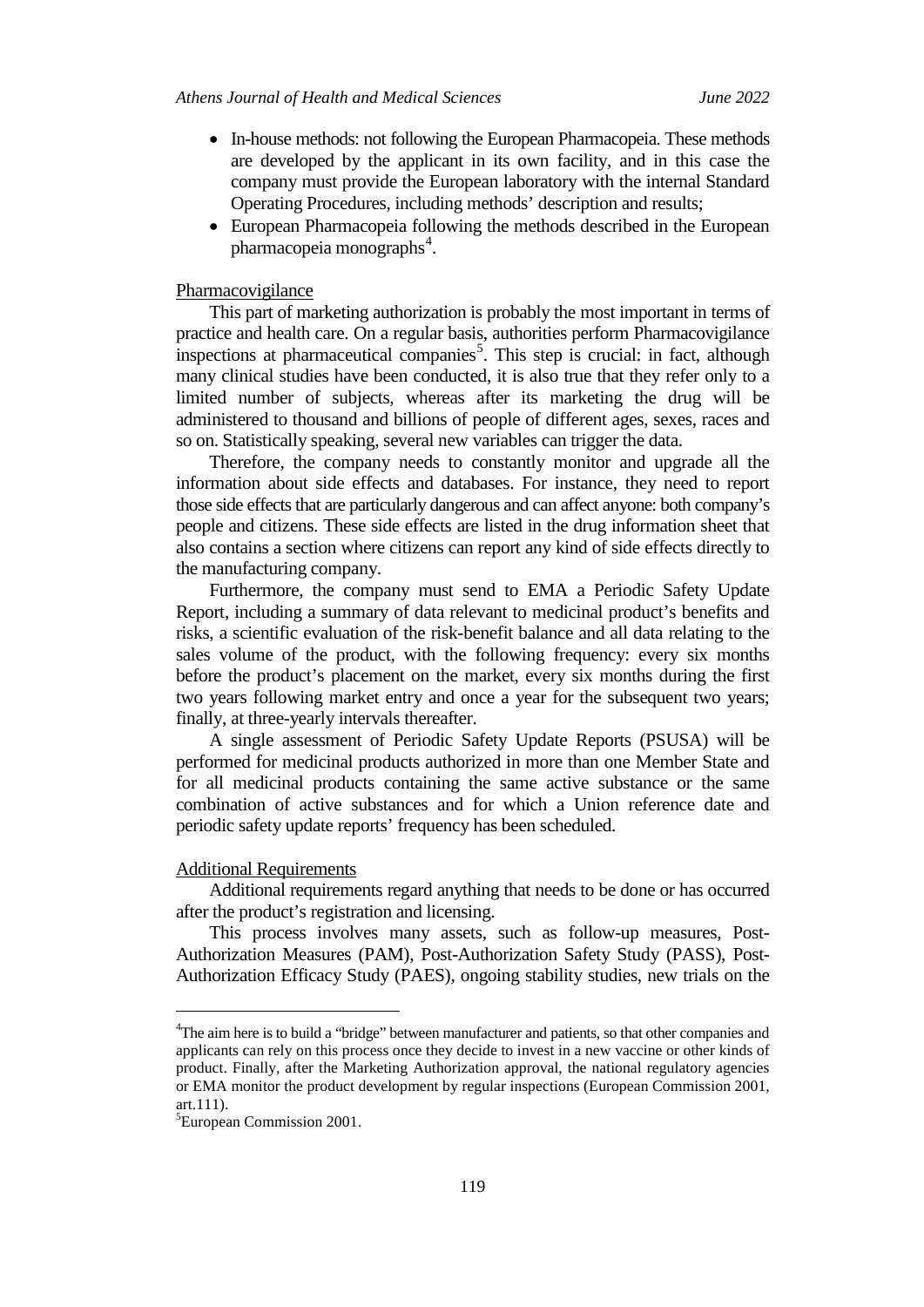- In-house methods: not following the European Pharmacopeia. These methods are developed by the applicant in its own facility, and in this case the company must provide the European laboratory with the internal Standard Operating Procedures, including methods' description and results;
- European Pharmacopeia following the methods described in the European pharmacopeia monographs<sup>[4](#page-6-0)</sup>.

## Pharmacovigilance

This part of marketing authorization is probably the most important in terms of practice and health care. On a regular basis, authorities perform Pharmacovigilance inspections at pharmaceutical companies<sup>[5](#page-6-1)</sup>. This step is crucial: in fact, although many clinical studies have been conducted, it is also true that they refer only to a limited number of subjects, whereas after its marketing the drug will be administered to thousand and billions of people of different ages, sexes, races and so on. Statistically speaking, several new variables can trigger the data.

Therefore, the company needs to constantly monitor and upgrade all the information about side effects and databases. For instance, they need to report those side effects that are particularly dangerous and can affect anyone: both company's people and citizens. These side effects are listed in the drug information sheet that also contains a section where citizens can report any kind of side effects directly to the manufacturing company.

Furthermore, the company must send to EMA a Periodic Safety Update Report, including a summary of data relevant to medicinal product's benefits and risks, a scientific evaluation of the risk-benefit balance and all data relating to the sales volume of the product, with the following frequency: every six months before the product's placement on the market, every six months during the first two years following market entry and once a year for the subsequent two years; finally, at three-yearly intervals thereafter.

A single assessment of Periodic Safety Update Reports (PSUSA) will be performed for medicinal products authorized in more than one Member State and for all medicinal products containing the same active substance or the same combination of active substances and for which a Union reference date and periodic safety update reports' frequency has been scheduled.

#### Additional Requirements

Additional requirements regard anything that needs to be done or has occurred after the product's registration and licensing.

This process involves many assets, such as follow-up measures, Post-Authorization Measures (PAM), Post-Authorization Safety Study (PASS), Post-Authorization Efficacy Study (PAES), ongoing stability studies, new trials on the

j

<span id="page-6-0"></span><sup>&</sup>lt;sup>4</sup>The aim here is to build a "bridge" between manufacturer and patients, so that other companies and applicants can rely on this process once they decide to invest in a new vaccine or other kinds of product. Finally, after the Marketing Authorization approval, the national regulatory agencies or EMA monitor the product development by regular inspections (European Commission 2001, art.111).

<span id="page-6-1"></span><sup>5</sup> European Commission 2001.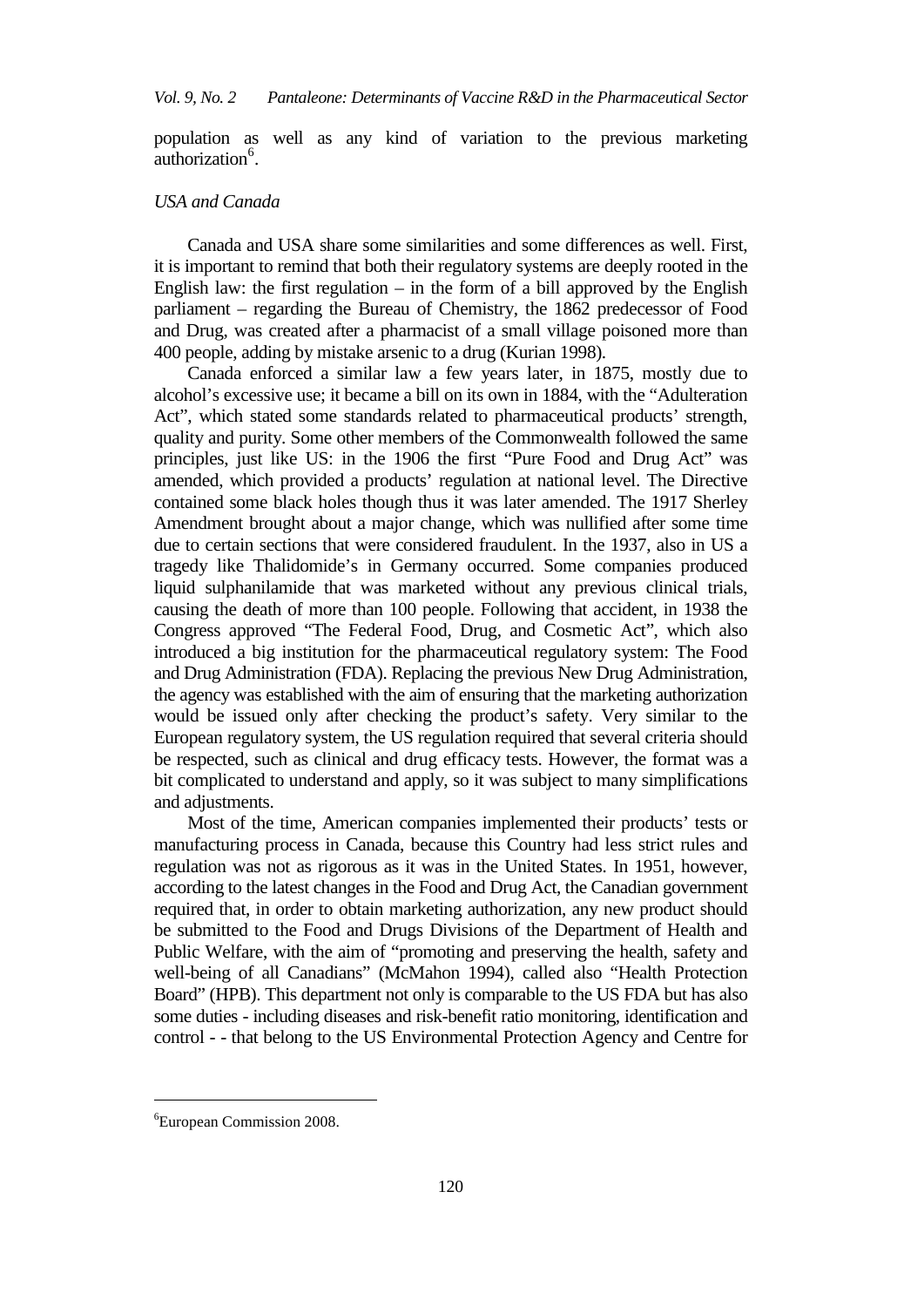population as well as any kind of variation to the previous marketing authorization<sup>[6](#page-7-0)</sup>.

## *USA and Canada*

Canada and USA share some similarities and some differences as well. First, it is important to remind that both their regulatory systems are deeply rooted in the English law: the first regulation  $-$  in the form of a bill approved by the English parliament – regarding the Bureau of Chemistry, the 1862 predecessor of Food and Drug, was created after a pharmacist of a small village poisoned more than 400 people, adding by mistake arsenic to a drug (Kurian 1998).

Canada enforced a similar law a few years later, in 1875, mostly due to alcohol's excessive use; it became a bill on its own in 1884, with the "Adulteration Act", which stated some standards related to pharmaceutical products' strength, quality and purity. Some other members of the Commonwealth followed the same principles, just like US: in the 1906 the first "Pure Food and Drug Act" was amended, which provided a products' regulation at national level. The Directive contained some black holes though thus it was later amended. The 1917 Sherley Amendment brought about a major change, which was nullified after some time due to certain sections that were considered fraudulent. In the 1937, also in US a tragedy like Thalidomide's in Germany occurred. Some companies produced liquid sulphanilamide that was marketed without any previous clinical trials, causing the death of more than 100 people. Following that accident, in 1938 the Congress approved "The Federal Food, Drug, and Cosmetic Act", which also introduced a big institution for the pharmaceutical regulatory system: The Food and Drug Administration (FDA). Replacing the previous New Drug Administration, the agency was established with the aim of ensuring that the marketing authorization would be issued only after checking the product's safety. Very similar to the European regulatory system, the US regulation required that several criteria should be respected, such as clinical and drug efficacy tests. However, the format was a bit complicated to understand and apply, so it was subject to many simplifications and adjustments.

Most of the time, American companies implemented their products' tests or manufacturing process in Canada, because this Country had less strict rules and regulation was not as rigorous as it was in the United States. In 1951, however, according to the latest changes in the Food and Drug Act, the Canadian government required that, in order to obtain marketing authorization, any new product should be submitted to the Food and Drugs Divisions of the Department of Health and Public Welfare, with the aim of "promoting and preserving the health, safety and well-being of all Canadians" (McMahon 1994), called also "Health Protection Board" (HPB). This department not only is comparable to the US FDA but has also some duties - including diseases and risk-benefit ratio monitoring, identification and control - - that belong to the US Environmental Protection Agency and Centre for

j

<span id="page-7-0"></span><sup>6</sup> European Commission 2008.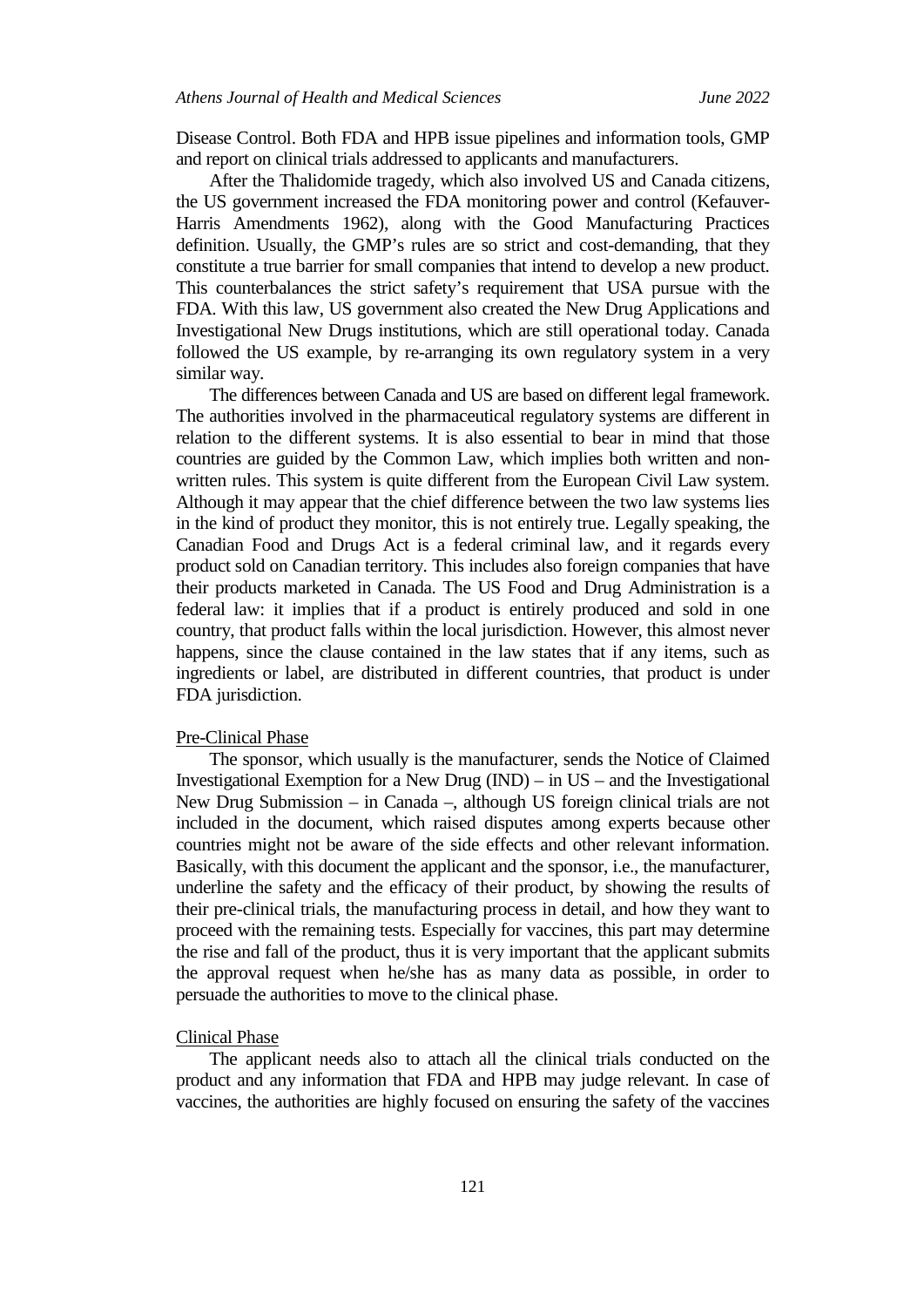Disease Control. Both FDA and HPB issue pipelines and information tools, GMP and report on clinical trials addressed to applicants and manufacturers.

After the Thalidomide tragedy, which also involved US and Canada citizens, the US government increased the FDA monitoring power and control (Kefauver-Harris Amendments 1962), along with the Good Manufacturing Practices definition. Usually, the GMP's rules are so strict and cost-demanding, that they constitute a true barrier for small companies that intend to develop a new product. This counterbalances the strict safety's requirement that USA pursue with the FDA. With this law, US government also created the New Drug Applications and Investigational New Drugs institutions, which are still operational today. Canada followed the US example, by re-arranging its own regulatory system in a very similar way.

The differences between Canada and US are based on different legal framework. The authorities involved in the pharmaceutical regulatory systems are different in relation to the different systems. It is also essential to bear in mind that those countries are guided by the Common Law, which implies both written and nonwritten rules. This system is quite different from the European Civil Law system. Although it may appear that the chief difference between the two law systems lies in the kind of product they monitor, this is not entirely true. Legally speaking, the Canadian Food and Drugs Act is a federal criminal law, and it regards every product sold on Canadian territory. This includes also foreign companies that have their products marketed in Canada. The US Food and Drug Administration is a federal law: it implies that if a product is entirely produced and sold in one country, that product falls within the local jurisdiction. However, this almost never happens, since the clause contained in the law states that if any items, such as ingredients or label, are distributed in different countries, that product is under FDA jurisdiction.

#### Pre-Clinical Phase

The sponsor, which usually is the manufacturer, sends the Notice of Claimed Investigational Exemption for a New Drug (IND) – in US – and the Investigational New Drug Submission – in Canada –, although US foreign clinical trials are not included in the document, which raised disputes among experts because other countries might not be aware of the side effects and other relevant information. Basically, with this document the applicant and the sponsor, i.e., the manufacturer, underline the safety and the efficacy of their product, by showing the results of their pre-clinical trials, the manufacturing process in detail, and how they want to proceed with the remaining tests. Especially for vaccines, this part may determine the rise and fall of the product, thus it is very important that the applicant submits the approval request when he/she has as many data as possible, in order to persuade the authorities to move to the clinical phase.

#### Clinical Phase

The applicant needs also to attach all the clinical trials conducted on the product and any information that FDA and HPB may judge relevant. In case of vaccines, the authorities are highly focused on ensuring the safety of the vaccines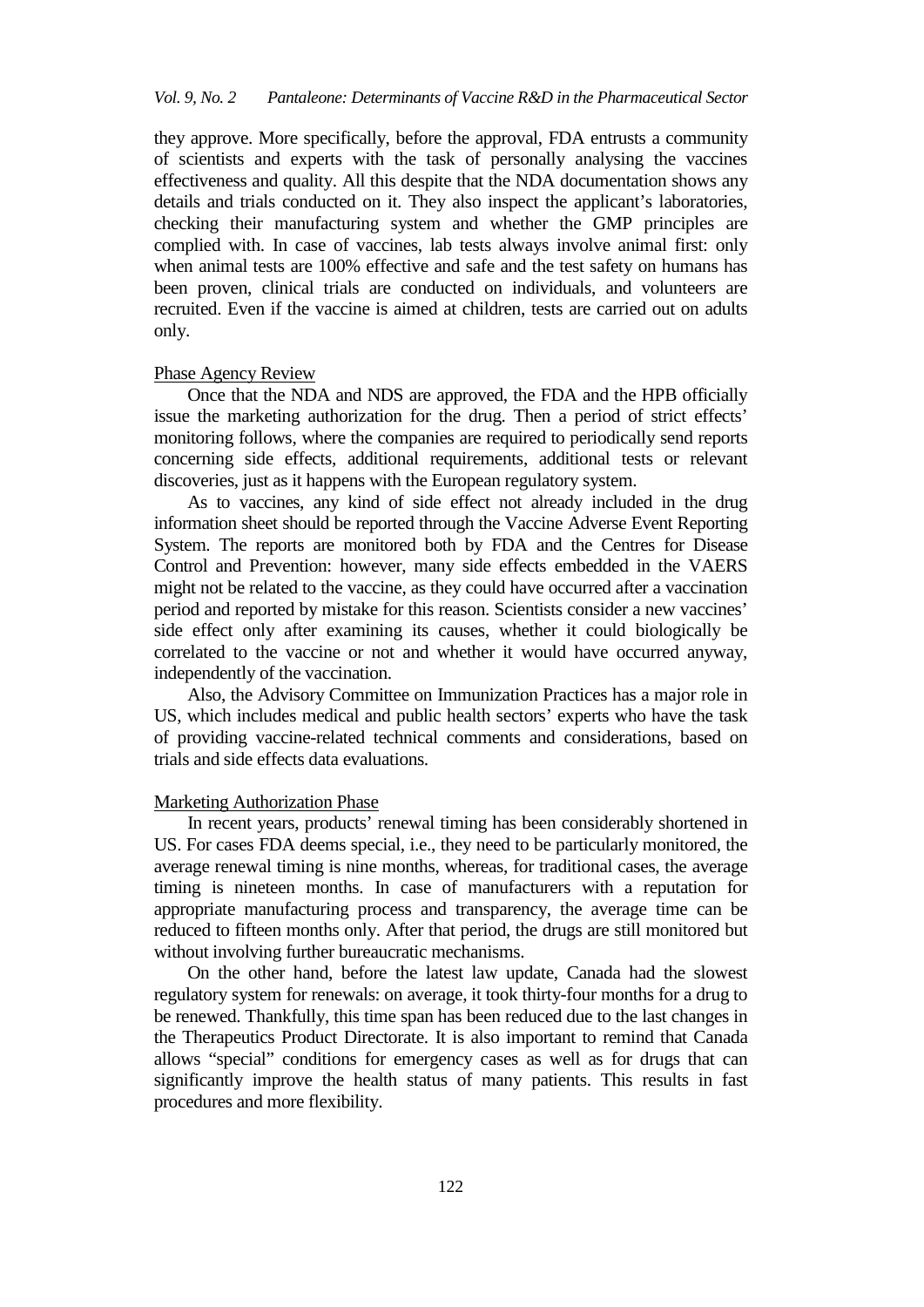they approve. More specifically, before the approval, FDA entrusts a community of scientists and experts with the task of personally analysing the vaccines effectiveness and quality. All this despite that the NDA documentation shows any details and trials conducted on it. They also inspect the applicant's laboratories, checking their manufacturing system and whether the GMP principles are complied with. In case of vaccines, lab tests always involve animal first: only when animal tests are 100% effective and safe and the test safety on humans has been proven, clinical trials are conducted on individuals, and volunteers are recruited. Even if the vaccine is aimed at children, tests are carried out on adults only.

#### Phase Agency Review

Once that the NDA and NDS are approved, the FDA and the HPB officially issue the marketing authorization for the drug. Then a period of strict effects' monitoring follows, where the companies are required to periodically send reports concerning side effects, additional requirements, additional tests or relevant discoveries, just as it happens with the European regulatory system.

As to vaccines, any kind of side effect not already included in the drug information sheet should be reported through the Vaccine Adverse Event Reporting System. The reports are monitored both by FDA and the Centres for Disease Control and Prevention: however, many side effects embedded in the VAERS might not be related to the vaccine, as they could have occurred after a vaccination period and reported by mistake for this reason. Scientists consider a new vaccines' side effect only after examining its causes, whether it could biologically be correlated to the vaccine or not and whether it would have occurred anyway, independently of the vaccination.

Also, the Advisory Committee on Immunization Practices has a major role in US, which includes medical and public health sectors' experts who have the task of providing vaccine-related technical comments and considerations, based on trials and side effects data evaluations.

#### Marketing Authorization Phase

In recent years, products' renewal timing has been considerably shortened in US. For cases FDA deems special, i.e., they need to be particularly monitored, the average renewal timing is nine months, whereas, for traditional cases, the average timing is nineteen months. In case of manufacturers with a reputation for appropriate manufacturing process and transparency, the average time can be reduced to fifteen months only. After that period, the drugs are still monitored but without involving further bureaucratic mechanisms.

On the other hand, before the latest law update, Canada had the slowest regulatory system for renewals: on average, it took thirty-four months for a drug to be renewed. Thankfully, this time span has been reduced due to the last changes in the Therapeutics Product Directorate. It is also important to remind that Canada allows "special" conditions for emergency cases as well as for drugs that can significantly improve the health status of many patients. This results in fast procedures and more flexibility.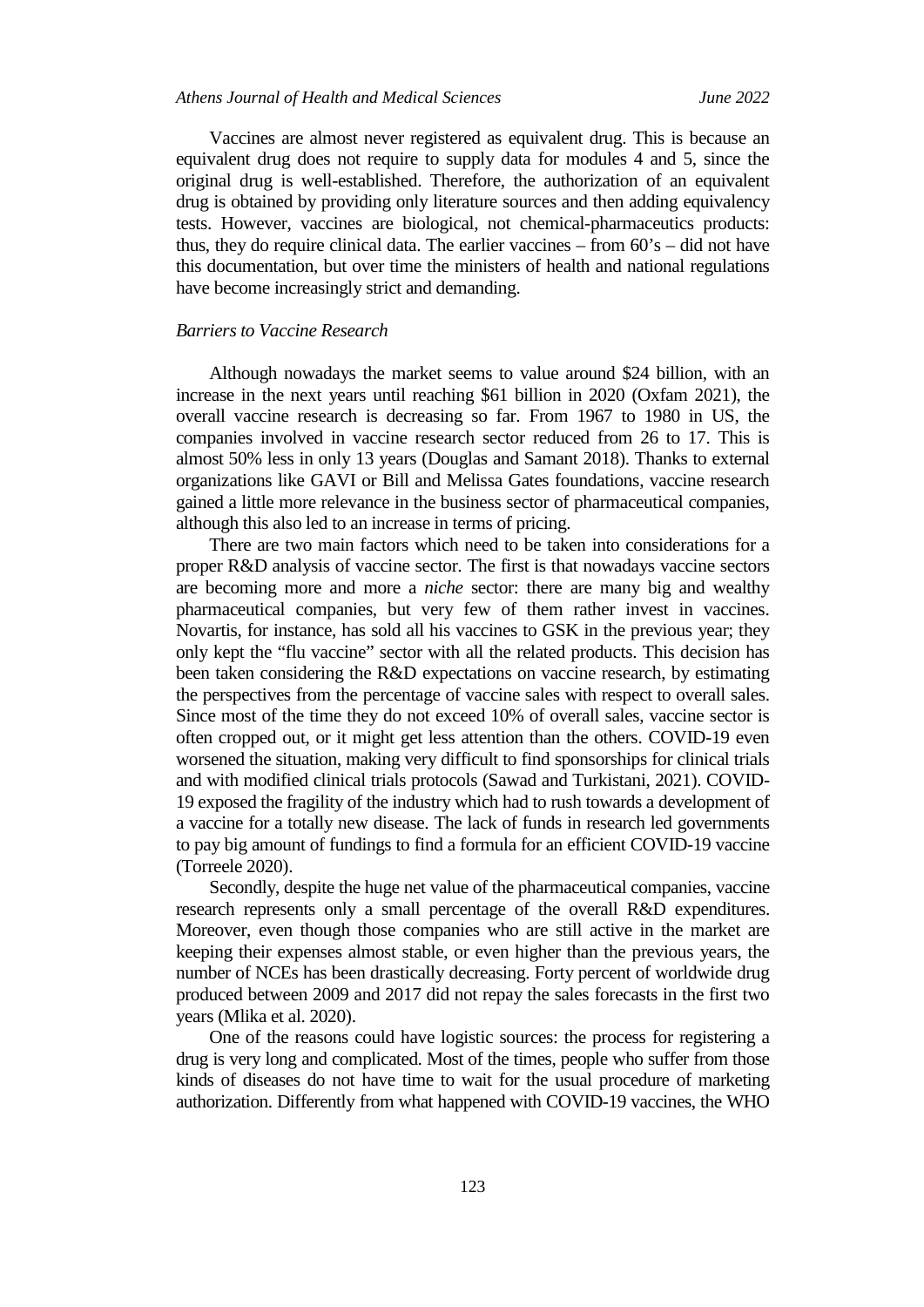Vaccines are almost never registered as equivalent drug. This is because an equivalent drug does not require to supply data for modules 4 and 5, since the original drug is well-established. Therefore, the authorization of an equivalent drug is obtained by providing only literature sources and then adding equivalency tests. However, vaccines are biological, not chemical-pharmaceutics products: thus, they do require clinical data. The earlier vaccines – from 60's – did not have this documentation, but over time the ministers of health and national regulations have become increasingly strict and demanding.

## *Barriers to Vaccine Research*

Although nowadays the market seems to value around \$24 billion, with an increase in the next years until reaching \$61 billion in 2020 (Oxfam 2021), the overall vaccine research is decreasing so far. From 1967 to 1980 in US, the companies involved in vaccine research sector reduced from 26 to 17. This is almost 50% less in only 13 years (Douglas and Samant 2018). Thanks to external organizations like GAVI or Bill and Melissa Gates foundations, vaccine research gained a little more relevance in the business sector of pharmaceutical companies, although this also led to an increase in terms of pricing.

There are two main factors which need to be taken into considerations for a proper R&D analysis of vaccine sector. The first is that nowadays vaccine sectors are becoming more and more a *niche* sector: there are many big and wealthy pharmaceutical companies, but very few of them rather invest in vaccines. Novartis, for instance, has sold all his vaccines to GSK in the previous year; they only kept the "flu vaccine" sector with all the related products. This decision has been taken considering the R&D expectations on vaccine research, by estimating the perspectives from the percentage of vaccine sales with respect to overall sales. Since most of the time they do not exceed 10% of overall sales, vaccine sector is often cropped out, or it might get less attention than the others. COVID-19 even worsened the situation, making very difficult to find sponsorships for clinical trials and with modified clinical trials protocols (Sawad and Turkistani, 2021). COVID-19 exposed the fragility of the industry which had to rush towards a development of a vaccine for a totally new disease. The lack of funds in research led governments to pay big amount of fundings to find a formula for an efficient COVID-19 vaccine (Torreele 2020).

Secondly, despite the huge net value of the pharmaceutical companies, vaccine research represents only a small percentage of the overall R&D expenditures. Moreover, even though those companies who are still active in the market are keeping their expenses almost stable, or even higher than the previous years, the number of NCEs has been drastically decreasing. Forty percent of worldwide drug produced between 2009 and 2017 did not repay the sales forecasts in the first two years (Mlika et al. 2020).

One of the reasons could have logistic sources: the process for registering a drug is very long and complicated. Most of the times, people who suffer from those kinds of diseases do not have time to wait for the usual procedure of marketing authorization. Differently from what happened with COVID-19 vaccines, the WHO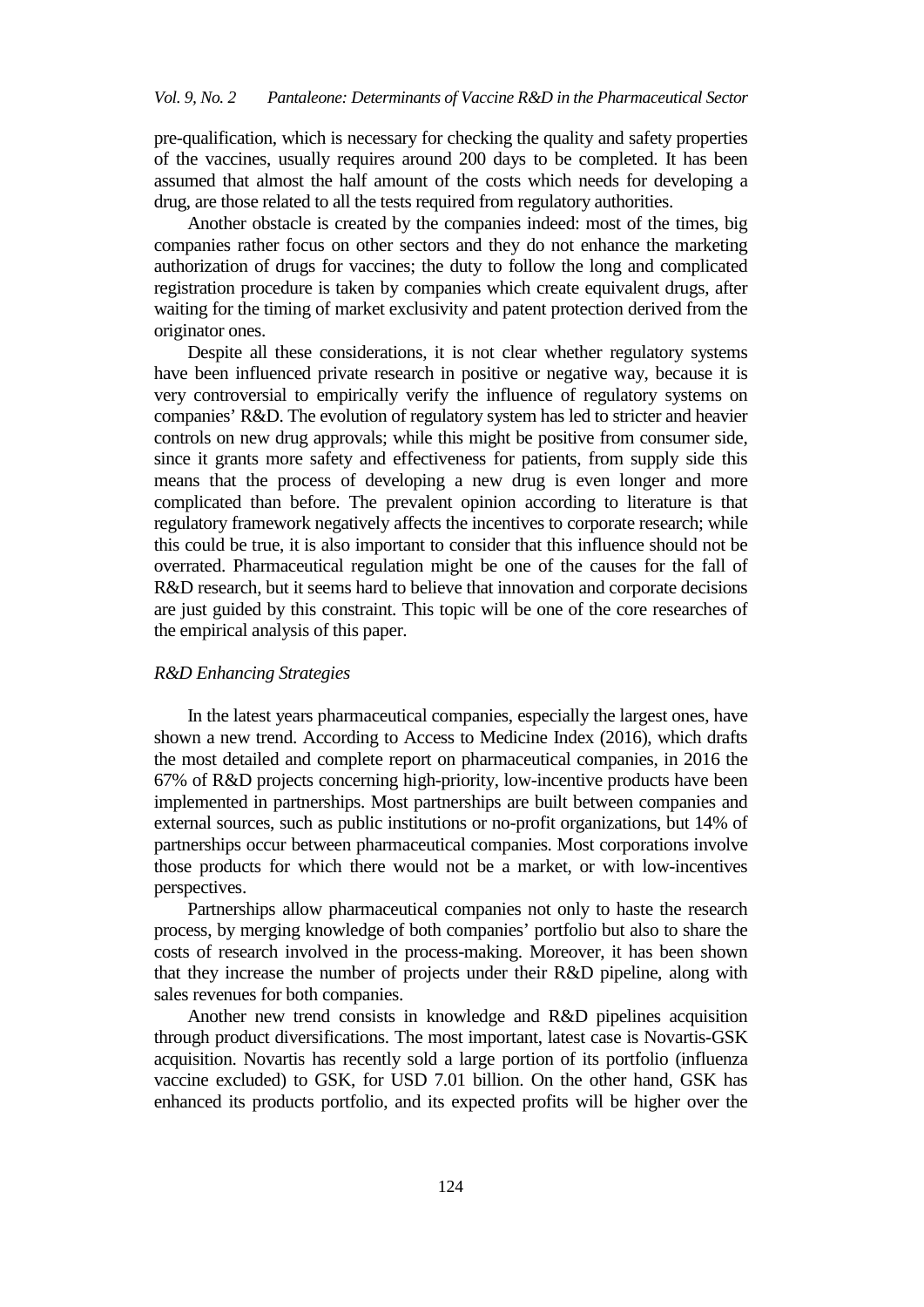pre-qualification, which is necessary for checking the quality and safety properties of the vaccines, usually requires around 200 days to be completed. It has been assumed that almost the half amount of the costs which needs for developing a drug, are those related to all the tests required from regulatory authorities.

Another obstacle is created by the companies indeed: most of the times, big companies rather focus on other sectors and they do not enhance the marketing authorization of drugs for vaccines; the duty to follow the long and complicated registration procedure is taken by companies which create equivalent drugs, after waiting for the timing of market exclusivity and patent protection derived from the originator ones.

Despite all these considerations, it is not clear whether regulatory systems have been influenced private research in positive or negative way, because it is very controversial to empirically verify the influence of regulatory systems on companies' R&D. The evolution of regulatory system has led to stricter and heavier controls on new drug approvals; while this might be positive from consumer side, since it grants more safety and effectiveness for patients, from supply side this means that the process of developing a new drug is even longer and more complicated than before. The prevalent opinion according to literature is that regulatory framework negatively affects the incentives to corporate research; while this could be true, it is also important to consider that this influence should not be overrated. Pharmaceutical regulation might be one of the causes for the fall of R&D research, but it seems hard to believe that innovation and corporate decisions are just guided by this constraint. This topic will be one of the core researches of the empirical analysis of this paper.

## *R&D Enhancing Strategies*

In the latest years pharmaceutical companies, especially the largest ones, have shown a new trend. According to Access to Medicine Index (2016), which drafts the most detailed and complete report on pharmaceutical companies, in 2016 the 67% of R&D projects concerning high-priority, low-incentive products have been implemented in partnerships. Most partnerships are built between companies and external sources, such as public institutions or no-profit organizations, but 14% of partnerships occur between pharmaceutical companies. Most corporations involve those products for which there would not be a market, or with low-incentives perspectives.

Partnerships allow pharmaceutical companies not only to haste the research process, by merging knowledge of both companies' portfolio but also to share the costs of research involved in the process-making. Moreover, it has been shown that they increase the number of projects under their R&D pipeline, along with sales revenues for both companies.

Another new trend consists in knowledge and R&D pipelines acquisition through product diversifications. The most important, latest case is Novartis-GSK acquisition. Novartis has recently sold a large portion of its portfolio (influenza vaccine excluded) to GSK, for USD 7.01 billion. On the other hand, GSK has enhanced its products portfolio, and its expected profits will be higher over the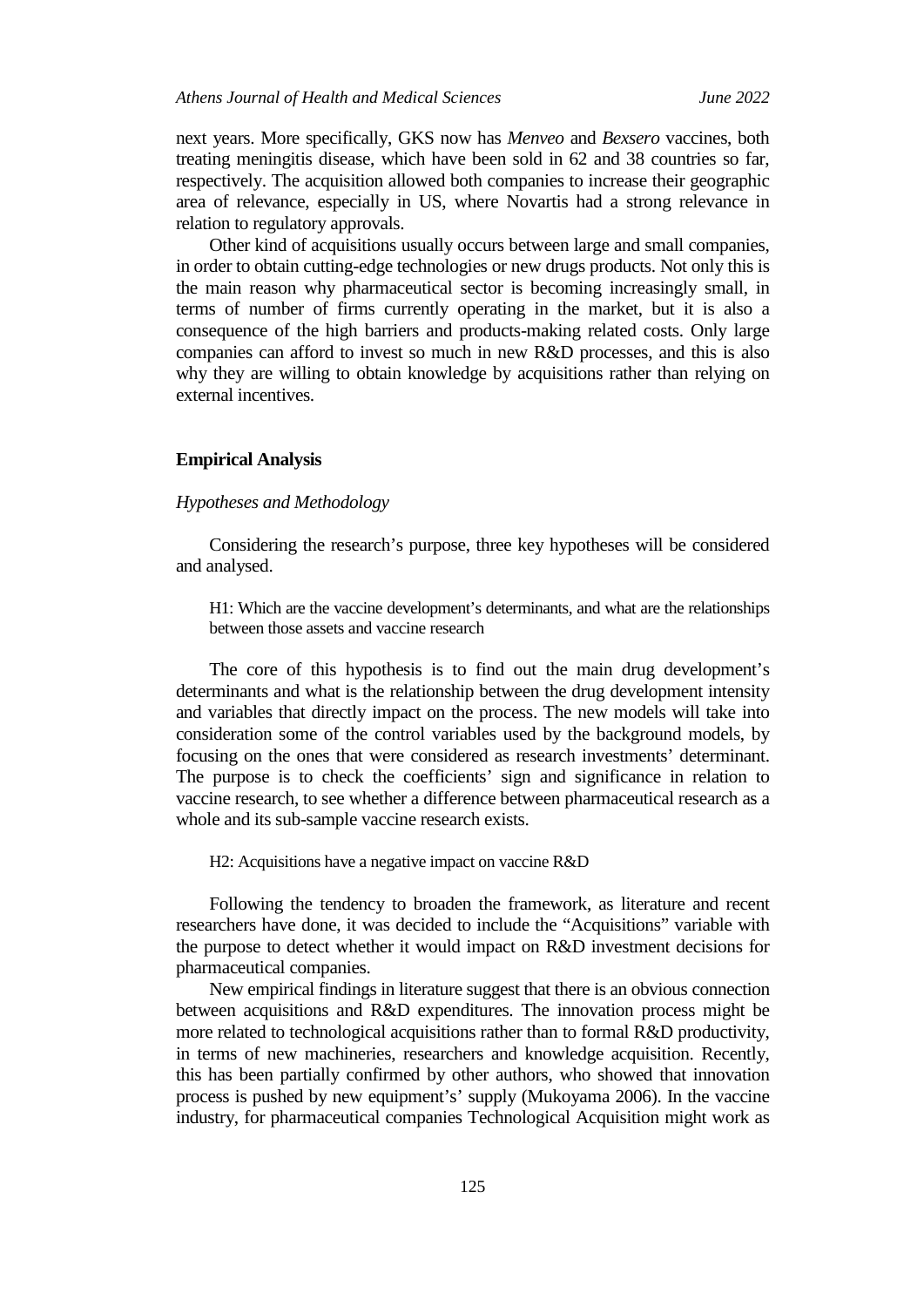next years. More specifically, GKS now has *Menveo* and *Bexsero* vaccines, both treating meningitis disease, which have been sold in 62 and 38 countries so far, respectively. The acquisition allowed both companies to increase their geographic area of relevance, especially in US, where Novartis had a strong relevance in relation to regulatory approvals.

Other kind of acquisitions usually occurs between large and small companies, in order to obtain cutting-edge technologies or new drugs products. Not only this is the main reason why pharmaceutical sector is becoming increasingly small, in terms of number of firms currently operating in the market, but it is also a consequence of the high barriers and products-making related costs. Only large companies can afford to invest so much in new R&D processes, and this is also why they are willing to obtain knowledge by acquisitions rather than relying on external incentives.

## **Empirical Analysis**

## *Hypotheses and Methodology*

Considering the research's purpose, three key hypotheses will be considered and analysed.

H1: Which are the vaccine development's determinants, and what are the relationships between those assets and vaccine research

The core of this hypothesis is to find out the main drug development's determinants and what is the relationship between the drug development intensity and variables that directly impact on the process. The new models will take into consideration some of the control variables used by the background models, by focusing on the ones that were considered as research investments' determinant. The purpose is to check the coefficients' sign and significance in relation to vaccine research, to see whether a difference between pharmaceutical research as a whole and its sub-sample vaccine research exists.

H2: Acquisitions have a negative impact on vaccine R&D

Following the tendency to broaden the framework, as literature and recent researchers have done, it was decided to include the "Acquisitions" variable with the purpose to detect whether it would impact on R&D investment decisions for pharmaceutical companies.

New empirical findings in literature suggest that there is an obvious connection between acquisitions and R&D expenditures. The innovation process might be more related to technological acquisitions rather than to formal R&D productivity, in terms of new machineries, researchers and knowledge acquisition. Recently, this has been partially confirmed by other authors, who showed that innovation process is pushed by new equipment's' supply (Mukoyama 2006). In the vaccine industry, for pharmaceutical companies Technological Acquisition might work as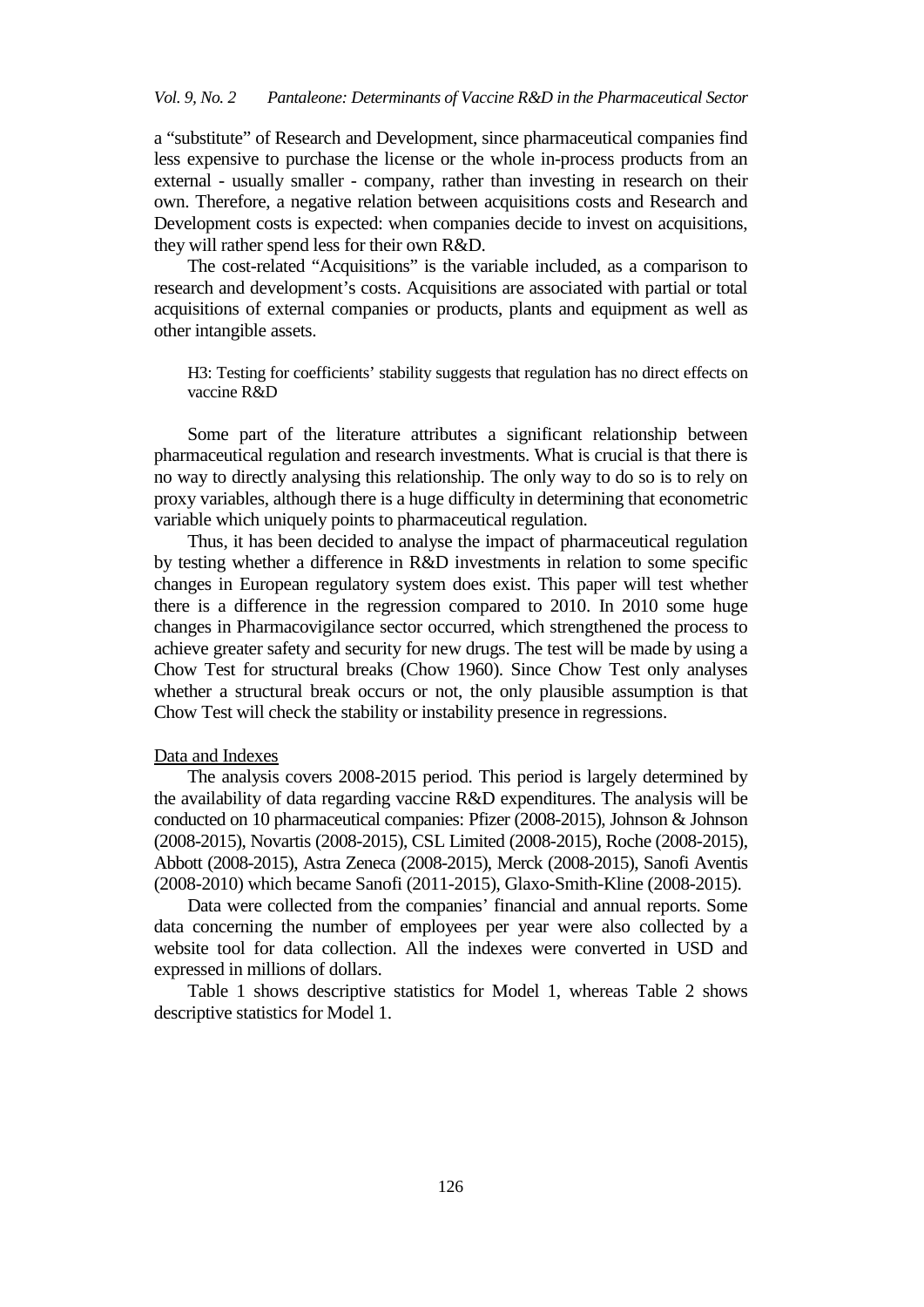a "substitute" of Research and Development, since pharmaceutical companies find less expensive to purchase the license or the whole in-process products from an external - usually smaller - company, rather than investing in research on their own. Therefore, a negative relation between acquisitions costs and Research and Development costs is expected: when companies decide to invest on acquisitions, they will rather spend less for their own R&D.

The cost-related "Acquisitions" is the variable included, as a comparison to research and development's costs. Acquisitions are associated with partial or total acquisitions of external companies or products, plants and equipment as well as other intangible assets.

H3: Testing for coefficients' stability suggests that regulation has no direct effects on vaccine R&D

Some part of the literature attributes a significant relationship between pharmaceutical regulation and research investments. What is crucial is that there is no way to directly analysing this relationship. The only way to do so is to rely on proxy variables, although there is a huge difficulty in determining that econometric variable which uniquely points to pharmaceutical regulation.

Thus, it has been decided to analyse the impact of pharmaceutical regulation by testing whether a difference in R&D investments in relation to some specific changes in European regulatory system does exist. This paper will test whether there is a difference in the regression compared to 2010. In 2010 some huge changes in Pharmacovigilance sector occurred, which strengthened the process to achieve greater safety and security for new drugs. The test will be made by using a Chow Test for structural breaks (Chow 1960). Since Chow Test only analyses whether a structural break occurs or not, the only plausible assumption is that Chow Test will check the stability or instability presence in regressions.

## Data and Indexes

The analysis covers 2008-2015 period. This period is largely determined by the availability of data regarding vaccine R&D expenditures. The analysis will be conducted on 10 pharmaceutical companies: Pfizer (2008-2015), Johnson & Johnson (2008-2015), Novartis (2008-2015), CSL Limited (2008-2015), Roche (2008-2015), Abbott (2008-2015), Astra Zeneca (2008-2015), Merck (2008-2015), Sanofi Aventis (2008-2010) which became Sanofi (2011-2015), Glaxo-Smith-Kline (2008-2015).

Data were collected from the companies' financial and annual reports. Some data concerning the number of employees per year were also collected by a website tool for data collection. All the indexes were converted in USD and expressed in millions of dollars.

Table 1 shows descriptive statistics for Model 1, whereas Table 2 shows descriptive statistics for Model 1.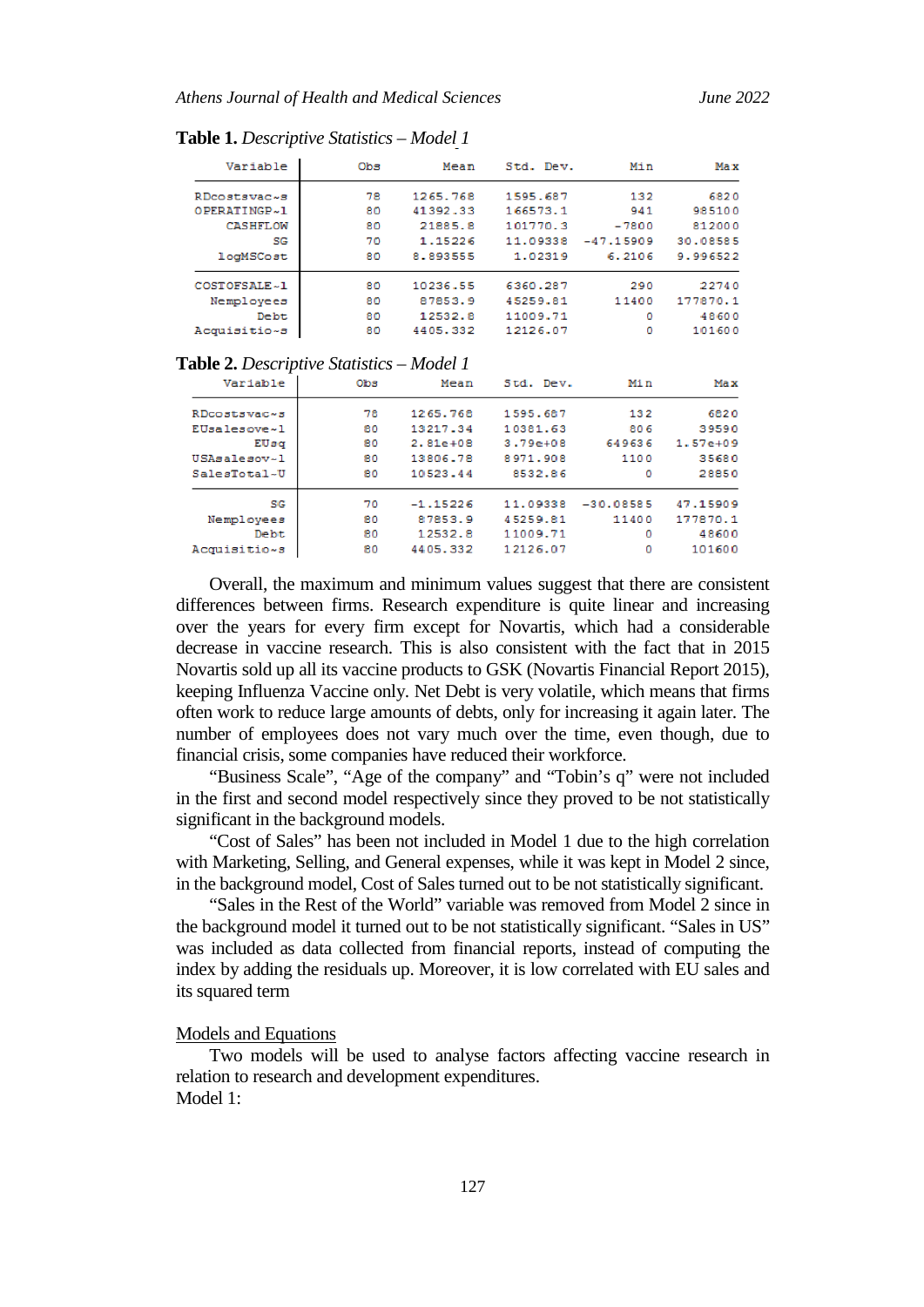| Variable     | Obs | Mean     | Std. Dev. | Min         | Max      |
|--------------|-----|----------|-----------|-------------|----------|
| RDcostsvac~s | 78  | 1265.768 | 1595.687  | 132         | 6820     |
| OPERATINGP~1 | 80  | 41392.33 | 166573.1  | 941         | 985100   |
| CASHFLOW     | 80  | 21885.8  | 101770.3  | $-7800$     | 812000   |
| SG           | 70  | 1.15226  | 11.09338  | $-47.15909$ | 30.08585 |
| logMSCost    | 80  | 8.893555 | 1.02319   | 6.2106      | 9.996522 |
| COSTOFSALE~1 | 80  | 10236.55 | 6360.287  | 290         | 22740    |
| Nemployees   | 80  | 87853.9  | 45259.81  | 11400       | 177870.1 |
| <b>Debt</b>  | 80  | 12532.8  | 11009.71  | ٥           | 48600    |
| Acquisitio~s | 80  | 4405.332 | 12126.07  | ٥           | 101600   |

**Table 1.** *Descriptive Statistics – Model 1*

**Table 2.** *Descriptive Statistics – Model 1*

| Variable     | Obs | Mean        | Std. Dev.    | Min         | Max          |
|--------------|-----|-------------|--------------|-------------|--------------|
| RDcostsvac~s | 78  | 1265.768    | 1595.687     | 132         | 6820         |
| EUsalesove~1 | 80  | 13217.34    | 10381.63     | 806         | 39590        |
| EUsq         | 80  | $2.81e+0.8$ | $3.79e + 08$ | 649636      | $1.57e + 09$ |
| USAsalesov~1 | 80  | 13806.78    | 8971.908     | 1100        | 35680        |
| SalesTotal~U | 80  | 10523.44    | 8532.86      | ٥           | 28850        |
| SG           | 70  | $-1.15226$  | 11.09338     | $-30.08585$ | 47.15909     |
| Nemployees   | 80  | 87853.9     | 45259.81     | 11400       | 177870.1     |
| <b>Debt</b>  | 80  | 12532.8     | 11009.71     | ٥           | 48600        |
| Acquisitio~s | 80  | 4405.332    | 12126.07     | ٥           | 101600       |

Overall, the maximum and minimum values suggest that there are consistent differences between firms. Research expenditure is quite linear and increasing over the years for every firm except for Novartis, which had a considerable decrease in vaccine research. This is also consistent with the fact that in 2015 Novartis sold up all its vaccine products to GSK (Novartis Financial Report 2015), keeping Influenza Vaccine only. Net Debt is very volatile, which means that firms often work to reduce large amounts of debts, only for increasing it again later. The number of employees does not vary much over the time, even though, due to financial crisis, some companies have reduced their workforce.

"Business Scale", "Age of the company" and "Tobin's q" were not included in the first and second model respectively since they proved to be not statistically significant in the background models.

"Cost of Sales" has been not included in Model 1 due to the high correlation with Marketing, Selling, and General expenses, while it was kept in Model 2 since, in the background model, Cost of Sales turned out to be not statistically significant.

"Sales in the Rest of the World" variable was removed from Model 2 since in the background model it turned out to be not statistically significant. "Sales in US" was included as data collected from financial reports, instead of computing the index by adding the residuals up. Moreover, it is low correlated with EU sales and its squared term

## Models and Equations

Two models will be used to analyse factors affecting vaccine research in relation to research and development expenditures. Model 1: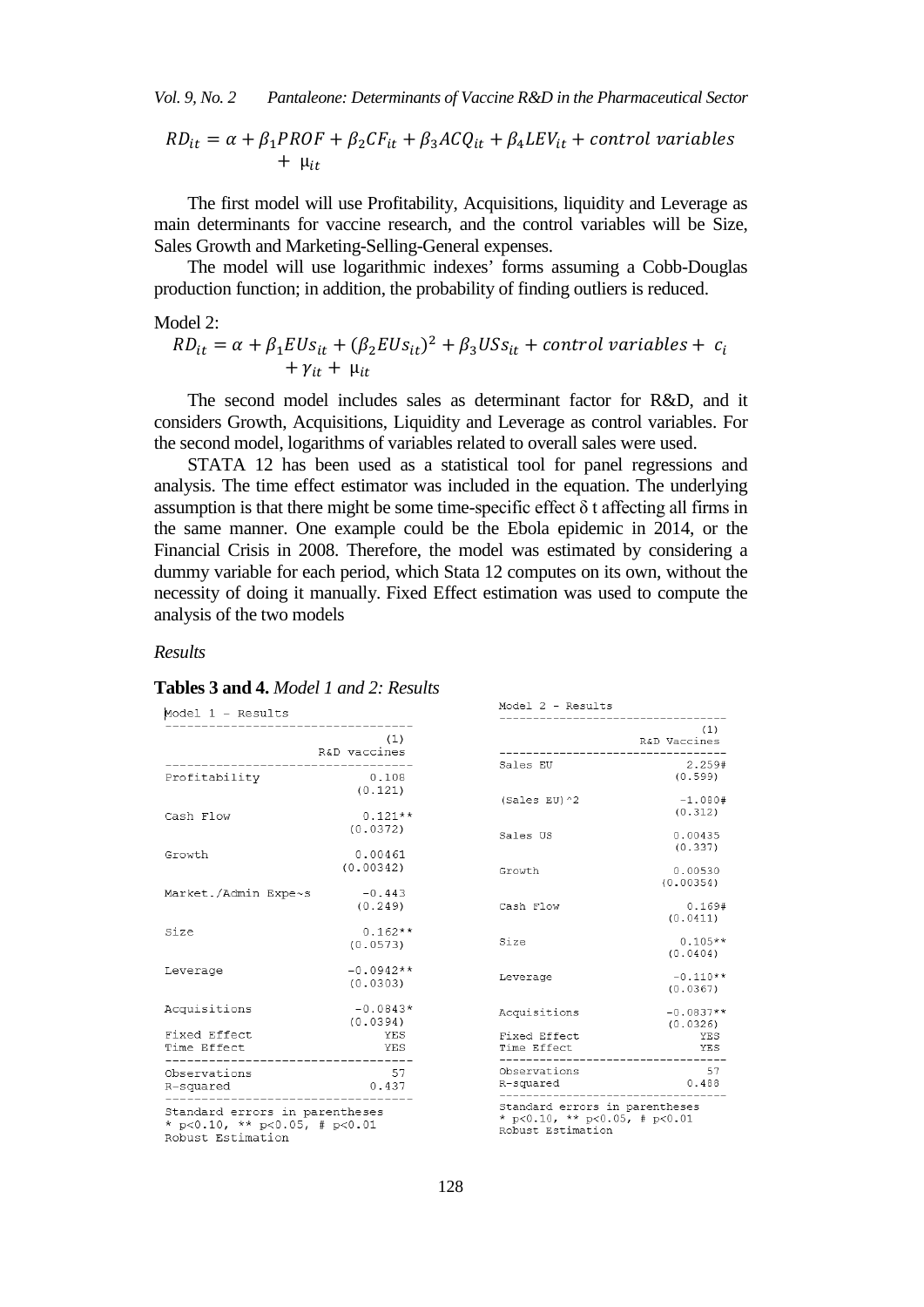*Vol. 9, No. 2 Pantaleone: Determinants of Vaccine R&D in the Pharmaceutical Sector*

$$
RD_{it} = \alpha + \beta_1 PROF + \beta_2 CF_{it} + \beta_3 ACQ_{it} + \beta_4 LEV_{it} + control\ variables
$$
  
+  $\mu_{it}$ 

The first model will use Profitability, Acquisitions, liquidity and Leverage as main determinants for vaccine research, and the control variables will be Size, Sales Growth and Marketing-Selling-General expenses.

The model will use logarithmic indexes' forms assuming a Cobb-Douglas production function; in addition, the probability of finding outliers is reduced.

## Model 2:

$$
RD_{it} = \alpha + \beta_1 EUS_{it} + (\beta_2 EUS_{it})^2 + \beta_3 US_{it} + control\ variables + c_i
$$
  
+  $\gamma_{it} + \mu_{it}$ 

The second model includes sales as determinant factor for R&D, and it considers Growth, Acquisitions, Liquidity and Leverage as control variables. For the second model, logarithms of variables related to overall sales were used.

STATA 12 has been used as a statistical tool for panel regressions and analysis. The time effect estimator was included in the equation. The underlying assumption is that there might be some time-specific effect  $\delta$  t affecting all firms in the same manner. One example could be the Ebola epidemic in 2014, or the Financial Crisis in 2008. Therefore, the model was estimated by considering a dummy variable for each period, which Stata 12 computes on its own, without the necessity of doing it manually. Fixed Effect estimation was used to compute the analysis of the two models

## *Results*

## **Tables 3 and 4.** *Model 1 and 2: Results*

|                                                | (1)<br>R&D vaccines     |
|------------------------------------------------|-------------------------|
| Profitability                                  | 0.108<br>(0.121)        |
| Cash Flow                                      | $0.121**$<br>(0.0372)   |
| Growt.h                                        | 0.00461<br>(0.00342)    |
| Market./Admin Expe~s                           | $-0.443$<br>(0.249)     |
| Size                                           | $0.162**$<br>(0.0573)   |
| Leverage                                       | $-0.0942**$<br>(0.0303) |
| Acquisitions                                   | $-0.0843*$<br>(0.0394)  |
| Fixed Effect<br>Time Effect<br>--------------- | YES<br>YES              |
| Observations<br>R-squared                      | 57<br>0.437             |

Robust Estimation

| Model 2 - Results                                                                                  |                        |
|----------------------------------------------------------------------------------------------------|------------------------|
|                                                                                                    | (1)<br>R&D Vaccines    |
| Sales EU                                                                                           | 2.259#<br>(0.599)      |
| (Sales EU) ^2                                                                                      | $-1.080#$<br>(0.312)   |
| Sales US                                                                                           | 0.00435<br>(0.337)     |
| Growth                                                                                             | 0.00530<br>(0.00354)   |
| Cash Flow                                                                                          | 0.169#<br>(0.0411)     |
| Size                                                                                               | $0.105**$<br>(0.0404)  |
| Leverage                                                                                           | $-0.110**$<br>(0.0367) |
| Acquisitions                                                                                       | $-0.0837**$            |
| Fixed Effect<br>Time Effect                                                                        | (0.0326)<br>YES<br>YES |
| Observations<br>R-squared                                                                          | 57<br>0.488            |
| Standard errors in parentheses<br>* $p < 0.10$ , ** $p < 0.05$ , # $p < 0.01$<br>Robust Estimation |                        |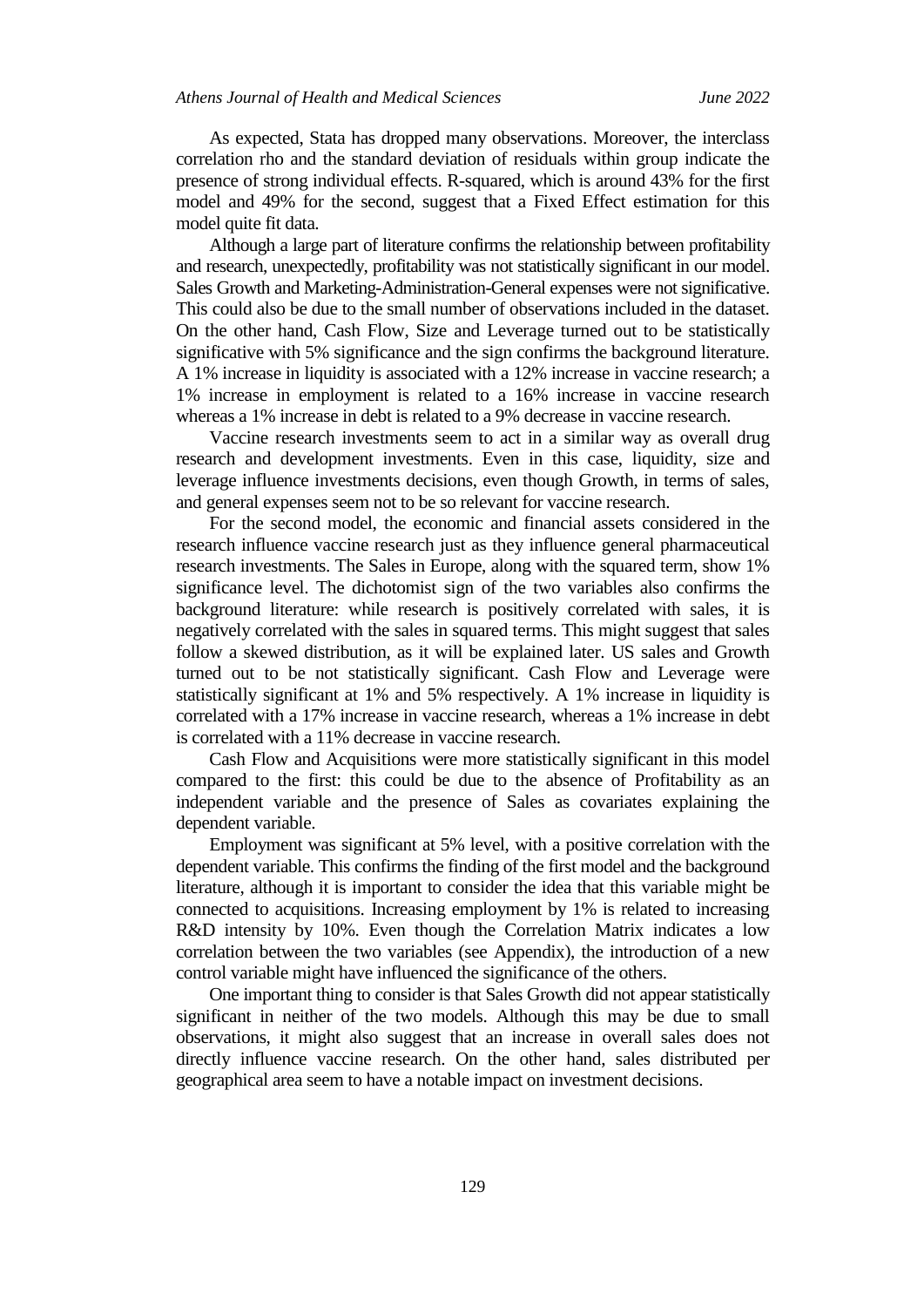As expected, Stata has dropped many observations. Moreover, the interclass correlation rho and the standard deviation of residuals within group indicate the presence of strong individual effects. R-squared, which is around 43% for the first model and 49% for the second, suggest that a Fixed Effect estimation for this model quite fit data.

Although a large part of literature confirms the relationship between profitability and research, unexpectedly, profitability was not statistically significant in our model. Sales Growth and Marketing-Administration-General expenses were not significative. This could also be due to the small number of observations included in the dataset. On the other hand, Cash Flow, Size and Leverage turned out to be statistically significative with 5% significance and the sign confirms the background literature. A 1% increase in liquidity is associated with a 12% increase in vaccine research; a 1% increase in employment is related to a 16% increase in vaccine research whereas a 1% increase in debt is related to a 9% decrease in vaccine research.

Vaccine research investments seem to act in a similar way as overall drug research and development investments. Even in this case, liquidity, size and leverage influence investments decisions, even though Growth, in terms of sales, and general expenses seem not to be so relevant for vaccine research.

For the second model, the economic and financial assets considered in the research influence vaccine research just as they influence general pharmaceutical research investments. The Sales in Europe, along with the squared term, show 1% significance level. The dichotomist sign of the two variables also confirms the background literature: while research is positively correlated with sales, it is negatively correlated with the sales in squared terms. This might suggest that sales follow a skewed distribution, as it will be explained later. US sales and Growth turned out to be not statistically significant. Cash Flow and Leverage were statistically significant at 1% and 5% respectively. A 1% increase in liquidity is correlated with a 17% increase in vaccine research, whereas a 1% increase in debt is correlated with a 11% decrease in vaccine research.

Cash Flow and Acquisitions were more statistically significant in this model compared to the first: this could be due to the absence of Profitability as an independent variable and the presence of Sales as covariates explaining the dependent variable.

Employment was significant at 5% level, with a positive correlation with the dependent variable. This confirms the finding of the first model and the background literature, although it is important to consider the idea that this variable might be connected to acquisitions. Increasing employment by 1% is related to increasing R&D intensity by 10%. Even though the Correlation Matrix indicates a low correlation between the two variables (see Appendix), the introduction of a new control variable might have influenced the significance of the others.

One important thing to consider is that Sales Growth did not appear statistically significant in neither of the two models. Although this may be due to small observations, it might also suggest that an increase in overall sales does not directly influence vaccine research. On the other hand, sales distributed per geographical area seem to have a notable impact on investment decisions.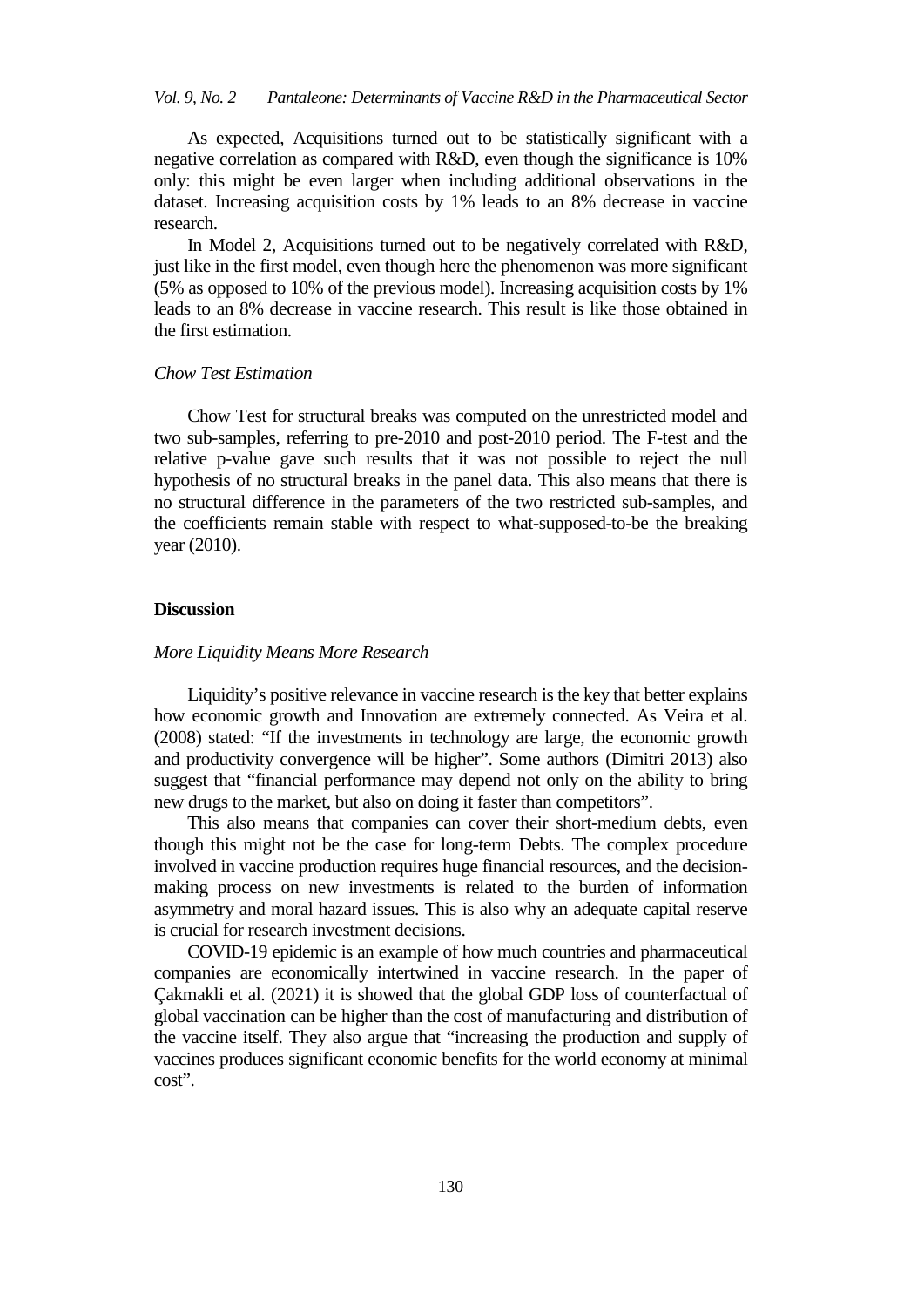## *Vol. 9, No. 2 Pantaleone: Determinants of Vaccine R&D in the Pharmaceutical Sector*

As expected, Acquisitions turned out to be statistically significant with a negative correlation as compared with R&D, even though the significance is 10% only: this might be even larger when including additional observations in the dataset. Increasing acquisition costs by 1% leads to an 8% decrease in vaccine research.

In Model 2, Acquisitions turned out to be negatively correlated with R&D, just like in the first model, even though here the phenomenon was more significant (5% as opposed to 10% of the previous model). Increasing acquisition costs by 1% leads to an 8% decrease in vaccine research. This result is like those obtained in the first estimation.

## *Chow Test Estimation*

Chow Test for structural breaks was computed on the unrestricted model and two sub-samples, referring to pre-2010 and post-2010 period. The F-test and the relative p-value gave such results that it was not possible to reject the null hypothesis of no structural breaks in the panel data. This also means that there is no structural difference in the parameters of the two restricted sub-samples, and the coefficients remain stable with respect to what-supposed-to-be the breaking year (2010).

## **Discussion**

#### *More Liquidity Means More Research*

Liquidity's positive relevance in vaccine research is the key that better explains how economic growth and Innovation are extremely connected. As Veira et al. (2008) stated: "If the investments in technology are large, the economic growth and productivity convergence will be higher". Some authors (Dimitri 2013) also suggest that "financial performance may depend not only on the ability to bring new drugs to the market, but also on doing it faster than competitors".

This also means that companies can cover their short-medium debts, even though this might not be the case for long-term Debts. The complex procedure involved in vaccine production requires huge financial resources, and the decisionmaking process on new investments is related to the burden of information asymmetry and moral hazard issues. This is also why an adequate capital reserve is crucial for research investment decisions.

COVID-19 epidemic is an example of how much countries and pharmaceutical companies are economically intertwined in vaccine research. In the paper of Çakmakli et al. (2021) it is showed that the global GDP loss of counterfactual of global vaccination can be higher than the cost of manufacturing and distribution of the vaccine itself. They also argue that "increasing the production and supply of vaccines produces significant economic benefits for the world economy at minimal cost".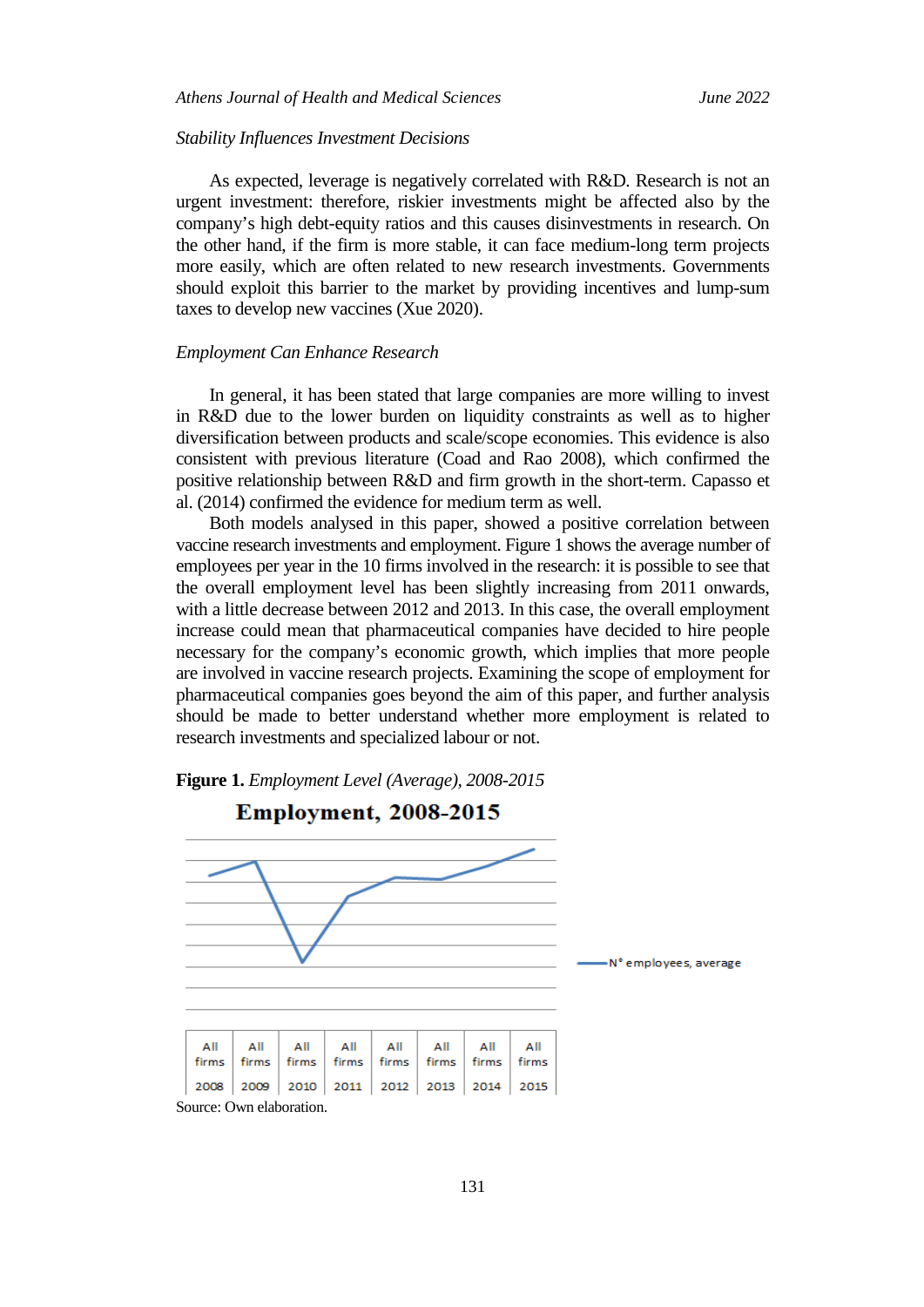#### *Stability Influences Investment Decisions*

As expected, leverage is negatively correlated with R&D. Research is not an urgent investment: therefore, riskier investments might be affected also by the company's high debt-equity ratios and this causes disinvestments in research. On the other hand, if the firm is more stable, it can face medium-long term projects more easily, which are often related to new research investments. Governments should exploit this barrier to the market by providing incentives and lump-sum taxes to develop new vaccines (Xue 2020).

#### *Employment Can Enhance Research*

In general, it has been stated that large companies are more willing to invest in R&D due to the lower burden on liquidity constraints as well as to higher diversification between products and scale/scope economies. This evidence is also consistent with previous literature (Coad and Rao 2008), which confirmed the positive relationship between R&D and firm growth in the short-term. Capasso et al. (2014) confirmed the evidence for medium term as well.

Both models analysed in this paper, showed a positive correlation between vaccine research investments and employment. Figure 1 shows the average number of employees per year in the 10 firms involved in the research: it is possible to see that the overall employment level has been slightly increasing from 2011 onwards, with a little decrease between 2012 and 2013. In this case, the overall employment increase could mean that pharmaceutical companies have decided to hire people necessary for the company's economic growth, which implies that more people are involved in vaccine research projects. Examining the scope of employment for pharmaceutical companies goes beyond the aim of this paper, and further analysis should be made to better understand whether more employment is related to research investments and specialized labour or not.



**Figure 1.** *Employment Level (Average), 2008-2015*

131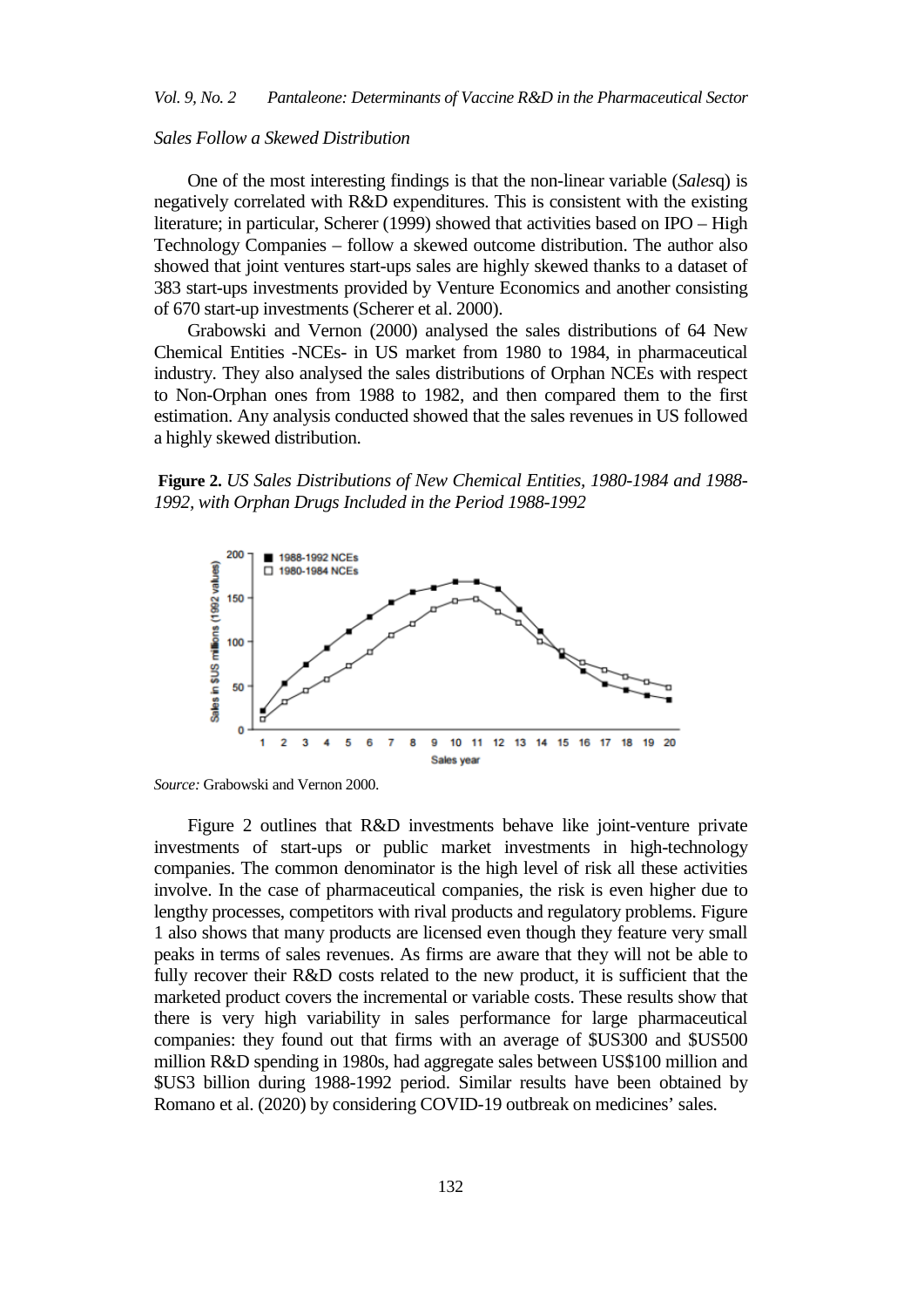### *Sales Follow a Skewed Distribution*

One of the most interesting findings is that the non-linear variable (*Sales*q) is negatively correlated with R&D expenditures. This is consistent with the existing literature; in particular, Scherer (1999) showed that activities based on IPO – High Technology Companies – follow a skewed outcome distribution. The author also showed that joint ventures start-ups sales are highly skewed thanks to a dataset of 383 start-ups investments provided by Venture Economics and another consisting of 670 start-up investments (Scherer et al. 2000).

Grabowski and Vernon (2000) analysed the sales distributions of 64 New Chemical Entities -NCEs- in US market from 1980 to 1984, in pharmaceutical industry. They also analysed the sales distributions of Orphan NCEs with respect to Non-Orphan ones from 1988 to 1982, and then compared them to the first estimation. Any analysis conducted showed that the sales revenues in US followed a highly skewed distribution.

**Figure 2.** *US Sales Distributions of New Chemical Entities, 1980-1984 and 1988- 1992, with Orphan Drugs Included in the Period 1988-1992*



*Source:* Grabowski and Vernon 2000.

Figure 2 outlines that R&D investments behave like joint-venture private investments of start-ups or public market investments in high-technology companies. The common denominator is the high level of risk all these activities involve. In the case of pharmaceutical companies, the risk is even higher due to lengthy processes, competitors with rival products and regulatory problems. Figure 1 also shows that many products are licensed even though they feature very small peaks in terms of sales revenues. As firms are aware that they will not be able to fully recover their R&D costs related to the new product, it is sufficient that the marketed product covers the incremental or variable costs. These results show that there is very high variability in sales performance for large pharmaceutical companies: they found out that firms with an average of \$US300 and \$US500 million R&D spending in 1980s, had aggregate sales between US\$100 million and \$US3 billion during 1988-1992 period. Similar results have been obtained by Romano et al. (2020) by considering COVID-19 outbreak on medicines' sales.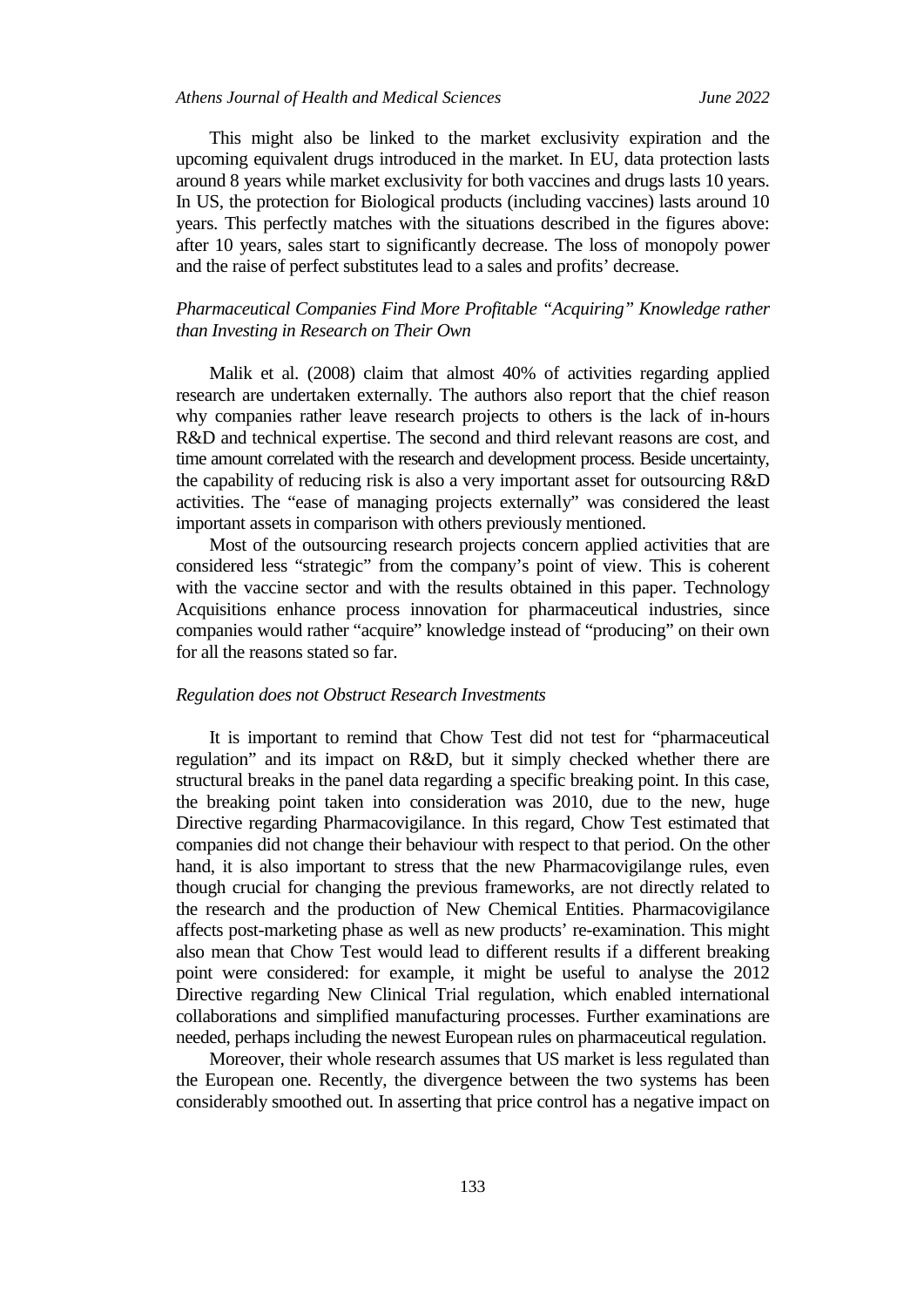This might also be linked to the market exclusivity expiration and the upcoming equivalent drugs introduced in the market. In EU, data protection lasts around 8 years while market exclusivity for both vaccines and drugs lasts 10 years. In US, the protection for Biological products (including vaccines) lasts around 10 years. This perfectly matches with the situations described in the figures above: after 10 years, sales start to significantly decrease. The loss of monopoly power and the raise of perfect substitutes lead to a sales and profits' decrease.

## *Pharmaceutical Companies Find More Profitable "Acquiring" Knowledge rather than Investing in Research on Their Own*

Malik et al. (2008) claim that almost 40% of activities regarding applied research are undertaken externally. The authors also report that the chief reason why companies rather leave research projects to others is the lack of in-hours R&D and technical expertise. The second and third relevant reasons are cost, and time amount correlated with the research and development process. Beside uncertainty, the capability of reducing risk is also a very important asset for outsourcing R&D activities. The "ease of managing projects externally" was considered the least important assets in comparison with others previously mentioned.

Most of the outsourcing research projects concern applied activities that are considered less "strategic" from the company's point of view. This is coherent with the vaccine sector and with the results obtained in this paper. Technology Acquisitions enhance process innovation for pharmaceutical industries, since companies would rather "acquire" knowledge instead of "producing" on their own for all the reasons stated so far.

#### *Regulation does not Obstruct Research Investments*

It is important to remind that Chow Test did not test for "pharmaceutical regulation" and its impact on R&D, but it simply checked whether there are structural breaks in the panel data regarding a specific breaking point. In this case, the breaking point taken into consideration was 2010, due to the new, huge Directive regarding Pharmacovigilance. In this regard, Chow Test estimated that companies did not change their behaviour with respect to that period. On the other hand, it is also important to stress that the new Pharmacovigilange rules, even though crucial for changing the previous frameworks, are not directly related to the research and the production of New Chemical Entities. Pharmacovigilance affects post-marketing phase as well as new products' re-examination. This might also mean that Chow Test would lead to different results if a different breaking point were considered: for example, it might be useful to analyse the 2012 Directive regarding New Clinical Trial regulation, which enabled international collaborations and simplified manufacturing processes. Further examinations are needed, perhaps including the newest European rules on pharmaceutical regulation.

Moreover, their whole research assumes that US market is less regulated than the European one. Recently, the divergence between the two systems has been considerably smoothed out. In asserting that price control has a negative impact on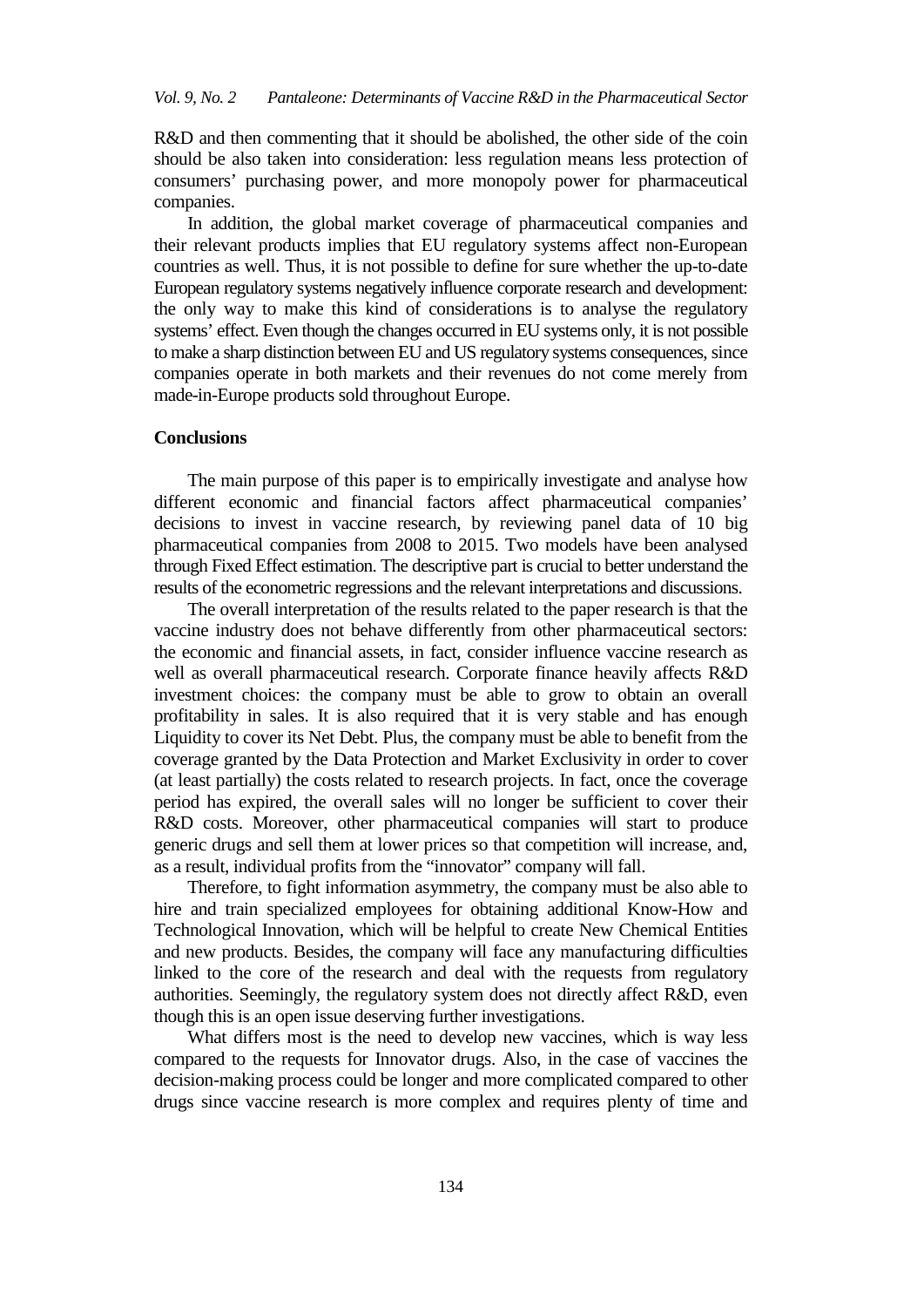R&D and then commenting that it should be abolished, the other side of the coin should be also taken into consideration: less regulation means less protection of consumers' purchasing power, and more monopoly power for pharmaceutical companies.

In addition, the global market coverage of pharmaceutical companies and their relevant products implies that EU regulatory systems affect non-European countries as well. Thus, it is not possible to define for sure whether the up-to-date European regulatory systems negatively influence corporate research and development: the only way to make this kind of considerations is to analyse the regulatory systems' effect. Even though the changes occurred in EU systems only, it is not possible to make a sharp distinction between EU and US regulatory systems consequences, since companies operate in both markets and their revenues do not come merely from made-in-Europe products sold throughout Europe.

## **Conclusions**

The main purpose of this paper is to empirically investigate and analyse how different economic and financial factors affect pharmaceutical companies' decisions to invest in vaccine research, by reviewing panel data of 10 big pharmaceutical companies from 2008 to 2015. Two models have been analysed through Fixed Effect estimation. The descriptive part is crucial to better understand the results of the econometric regressions and the relevant interpretations and discussions.

The overall interpretation of the results related to the paper research is that the vaccine industry does not behave differently from other pharmaceutical sectors: the economic and financial assets, in fact, consider influence vaccine research as well as overall pharmaceutical research. Corporate finance heavily affects R&D investment choices: the company must be able to grow to obtain an overall profitability in sales. It is also required that it is very stable and has enough Liquidity to cover its Net Debt. Plus, the company must be able to benefit from the coverage granted by the Data Protection and Market Exclusivity in order to cover (at least partially) the costs related to research projects. In fact, once the coverage period has expired, the overall sales will no longer be sufficient to cover their R&D costs. Moreover, other pharmaceutical companies will start to produce generic drugs and sell them at lower prices so that competition will increase, and, as a result, individual profits from the "innovator" company will fall.

Therefore, to fight information asymmetry, the company must be also able to hire and train specialized employees for obtaining additional Know-How and Technological Innovation, which will be helpful to create New Chemical Entities and new products. Besides, the company will face any manufacturing difficulties linked to the core of the research and deal with the requests from regulatory authorities. Seemingly, the regulatory system does not directly affect R&D, even though this is an open issue deserving further investigations.

What differs most is the need to develop new vaccines, which is way less compared to the requests for Innovator drugs. Also, in the case of vaccines the decision-making process could be longer and more complicated compared to other drugs since vaccine research is more complex and requires plenty of time and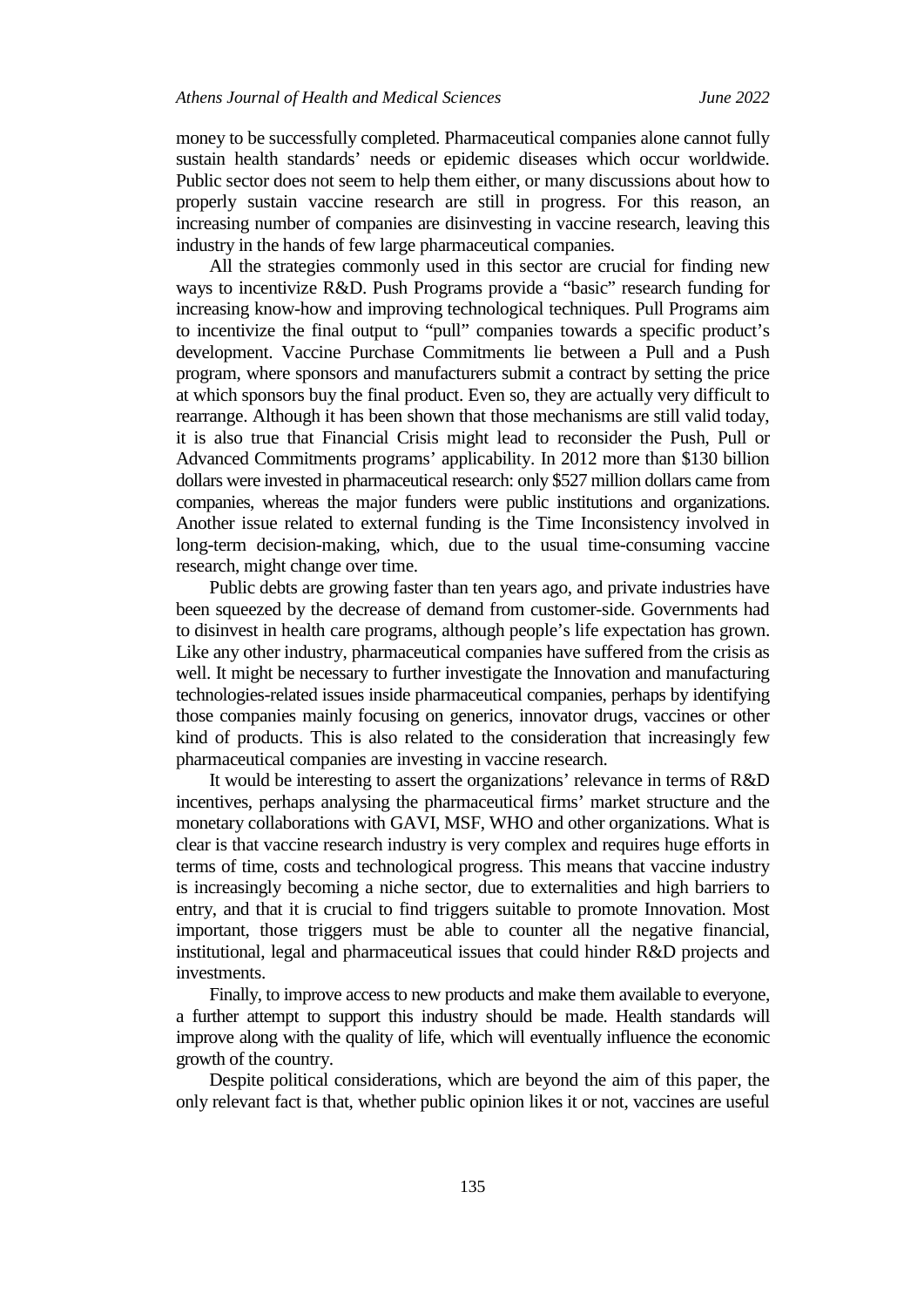money to be successfully completed. Pharmaceutical companies alone cannot fully sustain health standards' needs or epidemic diseases which occur worldwide. Public sector does not seem to help them either, or many discussions about how to properly sustain vaccine research are still in progress. For this reason, an increasing number of companies are disinvesting in vaccine research, leaving this industry in the hands of few large pharmaceutical companies.

All the strategies commonly used in this sector are crucial for finding new ways to incentivize R&D. Push Programs provide a "basic" research funding for increasing know-how and improving technological techniques. Pull Programs aim to incentivize the final output to "pull" companies towards a specific product's development. Vaccine Purchase Commitments lie between a Pull and a Push program, where sponsors and manufacturers submit a contract by setting the price at which sponsors buy the final product. Even so, they are actually very difficult to rearrange. Although it has been shown that those mechanisms are still valid today, it is also true that Financial Crisis might lead to reconsider the Push, Pull or Advanced Commitments programs' applicability. In 2012 more than \$130 billion dollars were invested in pharmaceutical research: only \$527 million dollars came from companies, whereas the major funders were public institutions and organizations. Another issue related to external funding is the Time Inconsistency involved in long-term decision-making, which, due to the usual time-consuming vaccine research, might change over time.

Public debts are growing faster than ten years ago, and private industries have been squeezed by the decrease of demand from customer-side. Governments had to disinvest in health care programs, although people's life expectation has grown. Like any other industry, pharmaceutical companies have suffered from the crisis as well. It might be necessary to further investigate the Innovation and manufacturing technologies-related issues inside pharmaceutical companies, perhaps by identifying those companies mainly focusing on generics, innovator drugs, vaccines or other kind of products. This is also related to the consideration that increasingly few pharmaceutical companies are investing in vaccine research.

It would be interesting to assert the organizations' relevance in terms of R&D incentives, perhaps analysing the pharmaceutical firms' market structure and the monetary collaborations with GAVI, MSF, WHO and other organizations. What is clear is that vaccine research industry is very complex and requires huge efforts in terms of time, costs and technological progress. This means that vaccine industry is increasingly becoming a niche sector, due to externalities and high barriers to entry, and that it is crucial to find triggers suitable to promote Innovation. Most important, those triggers must be able to counter all the negative financial, institutional, legal and pharmaceutical issues that could hinder R&D projects and investments.

Finally, to improve access to new products and make them available to everyone, a further attempt to support this industry should be made. Health standards will improve along with the quality of life, which will eventually influence the economic growth of the country.

Despite political considerations, which are beyond the aim of this paper, the only relevant fact is that, whether public opinion likes it or not, vaccines are useful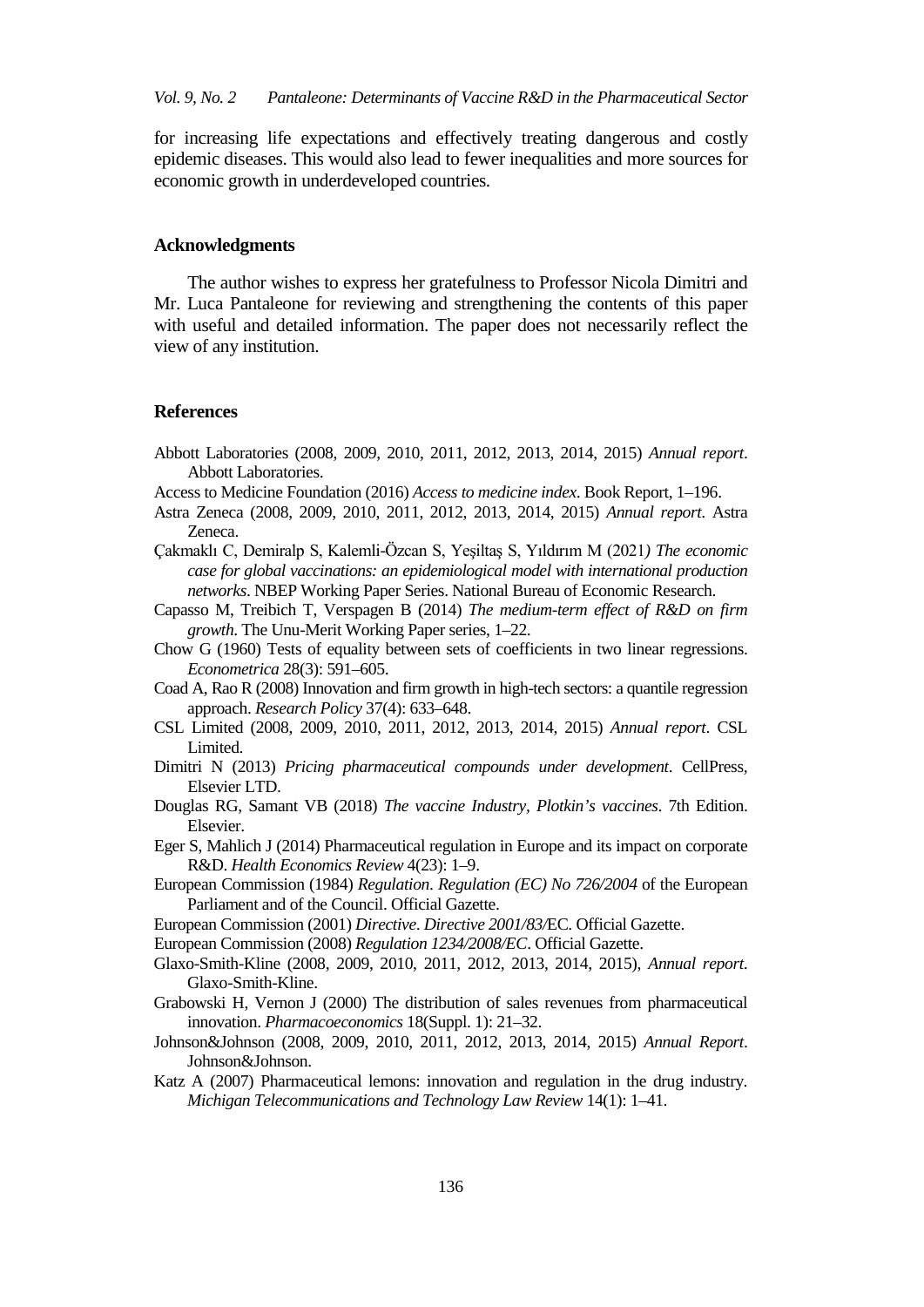for increasing life expectations and effectively treating dangerous and costly epidemic diseases. This would also lead to fewer inequalities and more sources for economic growth in underdeveloped countries.

## **Acknowledgments**

The author wishes to express her gratefulness to Professor Nicola Dimitri and Mr. Luca Pantaleone for reviewing and strengthening the contents of this paper with useful and detailed information. The paper does not necessarily reflect the view of any institution.

## **References**

- Abbott Laboratories (2008, 2009, 2010, 2011, 2012, 2013, 2014, 2015) *Annual report*. Abbott Laboratories.
- Access to Medicine Foundation (2016) *Access to medicine index*. Book Report, 1–196.
- Astra Zeneca (2008, 2009, 2010, 2011, 2012, 2013, 2014, 2015) *Annual report*. Astra Zeneca.
- Çakmaklı C, Demiralp S, Kalemli-Özcan S, Yeşiltaş S, Yıldırım M (2021*) The economic case for global vaccinations: an epidemiological model with international production networks*. NBEP Working Paper Series. National Bureau of Economic Research.
- Capasso M, Treibich T, Verspagen B (2014) *The medium-term effect of R&D on firm growth*. The Unu-Merit Working Paper series, 1–22.
- Chow G (1960) Tests of equality between sets of coefficients in two linear regressions. *Econometrica* 28(3): 591–605.
- Coad A, Rao R (2008) Innovation and firm growth in high-tech sectors: a quantile regression approach. *Research Policy* 37(4): 633–648.
- CSL Limited (2008, 2009, 2010, 2011, 2012, 2013, 2014, 2015) *Annual report*. CSL Limited.
- Dimitri N (2013) *Pricing pharmaceutical compounds under development*. CellPress*,* Elsevier LTD.
- Douglas RG, Samant VB (2018) *The vaccine Industry, Plotkin's vaccines*. 7th Edition. Elsevier.
- Eger S, Mahlich J (2014) Pharmaceutical regulation in Europe and its impact on corporate R&D. *Health Economics Review* 4(23): 1–9.
- European Commission (1984) *Regulation*. *Regulation (EC) No 726/2004* of the European Parliament and of the Council. Official Gazette.
- European Commission (2001) *Directive*. *Directive 2001/83/*EC. Official Gazette.
- European Commission (2008) *Regulation 1234/2008/EC*. Official Gazette.
- Glaxo-Smith-Kline (2008, 2009, 2010, 2011, 2012, 2013, 2014, 2015), *Annual report*. Glaxo-Smith-Kline.
- Grabowski H, Vernon J (2000) The distribution of sales revenues from pharmaceutical innovation. *Pharmacoeconomics* 18(Suppl. 1): 21–32.
- Johnson&Johnson (2008, 2009, 2010, 2011, 2012, 2013, 2014, 2015) *Annual Report*. Johnson&Johnson.
- Katz A (2007) Pharmaceutical lemons: innovation and regulation in the drug industry. *Michigan Telecommunications and Technology Law Review* 14(1): 1–41.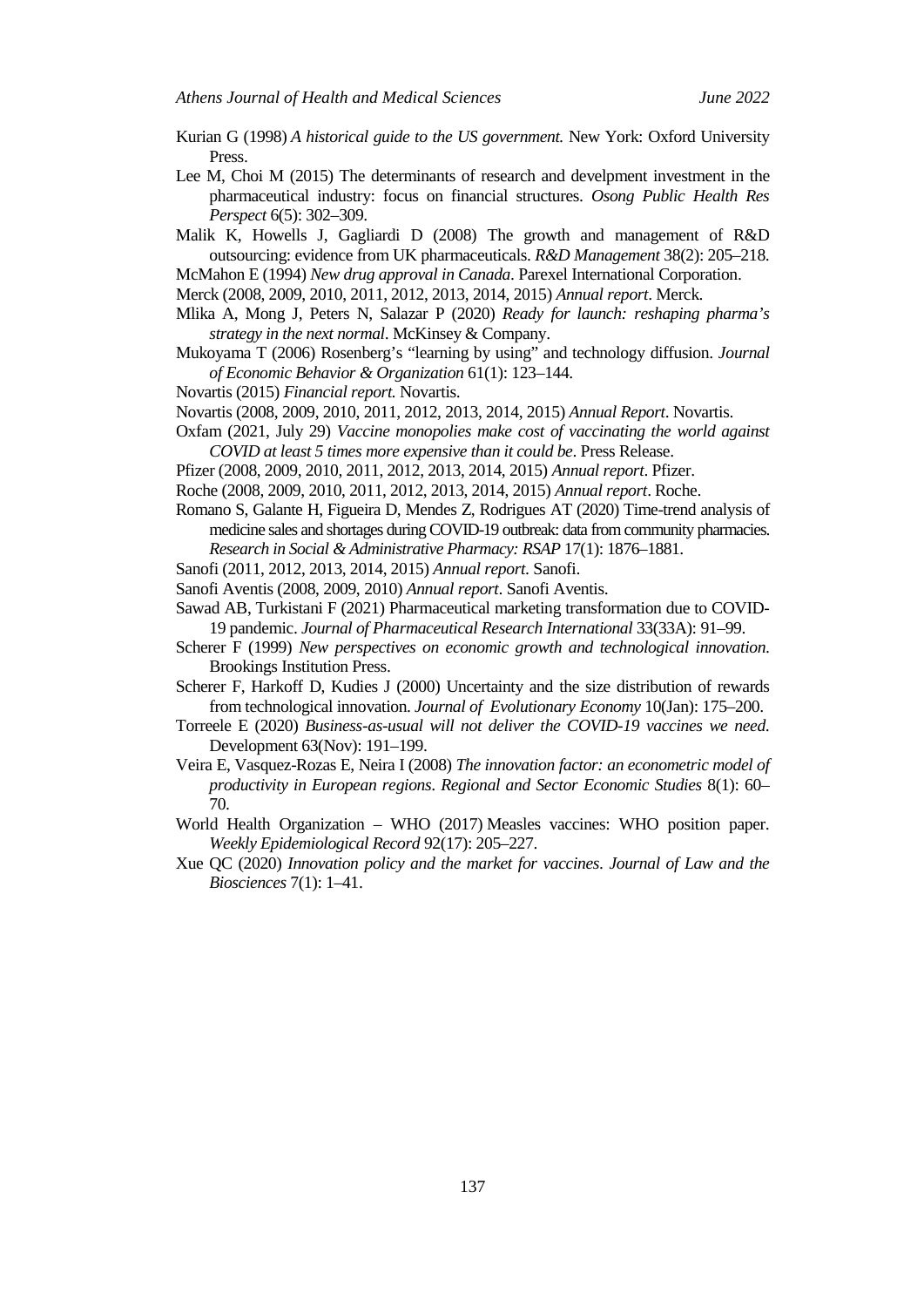- Kurian G (1998) *A historical guide to the US government.* New York: Oxford University Press.
- Lee M, Choi M (2015) The determinants of research and develpment investment in the pharmaceutical industry: focus on financial structures. *Osong Public Health Res Perspect* 6(5): 302–309.
- Malik K, Howells J, Gagliardi D (2008) The growth and management of R&D outsourcing: evidence from UK pharmaceuticals. *R&D Management* 38(2): 205–218.
- McMahon E (1994) *New drug approval in Canada*. Parexel International Corporation.
- Merck (2008, 2009, 2010, 2011, 2012, 2013, 2014, 2015) *Annual report*. Merck.
- Mlika A, Mong J, Peters N, Salazar P (2020) *Ready for launch: reshaping pharma's strategy in the next normal*. McKinsey & Company.
- Mukoyama T (2006) Rosenberg's "learning by using" and technology diffusion. *Journal of Economic Behavior & Organization* 61(1): 123–144.
- Novartis (2015) *Financial report.* Novartis.
- Novartis (2008, 2009, 2010, 2011, 2012, 2013, 2014, 2015) *Annual Report*. Novartis.
- Oxfam (2021, July 29) *Vaccine monopolies make cost of vaccinating the world against COVID at least 5 times more expensive than it could be*. Press Release.
- Pfizer (2008, 2009, 2010, 2011, 2012, 2013, 2014, 2015) *Annual report*. Pfizer.
- Roche (2008, 2009, 2010, 2011, 2012, 2013, 2014, 2015) *Annual report*. Roche.
- Romano S, Galante H, Figueira D, Mendes Z, Rodrigues AT (2020) Time-trend analysis of medicine sales and shortages during COVID-19 outbreak: data from community pharmacies. *Research in Social & Administrative Pharmacy: RSAP* 17(1): 1876–1881.
- Sanofi (2011, 2012, 2013, 2014, 2015) *Annual report*. Sanofi.
- Sanofi Aventis (2008, 2009, 2010) *Annual report*. Sanofi Aventis.
- Sawad AB, Turkistani F (2021) Pharmaceutical marketing transformation due to COVID-19 pandemic. *Journal of Pharmaceutical Research International* 33(33A): 91–99.
- Scherer F (1999) *New perspectives on economic growth and technological innovation*. Brookings Institution Press.
- Scherer F, Harkoff D, Kudies J (2000) Uncertainty and the size distribution of rewards from technological innovation. *Journal of Evolutionary Economy* 10(Jan): 175–200.
- Torreele E (2020) *Business-as-usual will not deliver the COVID-19 vaccines we need*. Development 63(Nov): 191–199.
- Veira E, Vasquez-Rozas E, Neira I (2008) *The innovation factor: an econometric model of productivity in European regions*. *Regional and Sector Economic Studies* 8(1): 60– 70.
- World Health Organization WHO (2017) Measles vaccines: WHO position paper. *Weekly Epidemiological Record* 92(17): 205–227.
- Xue QC (2020) *Innovation policy and the market for vaccines*. *Journal of Law and the Biosciences* 7(1): 1–41.